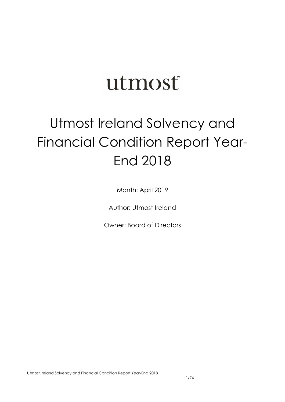# utmost

## Utmost Ireland Solvency and Financial Condition Report Year-End 2018

Month: April 2019

Author: Utmost Ireland

Owner: Board of Directors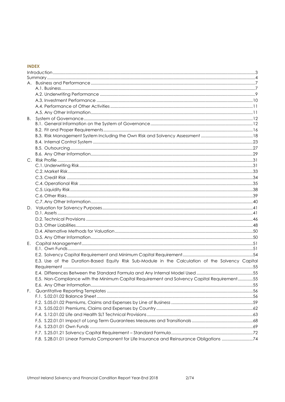## **INDEX**

| В. |                                                                                                  |  |
|----|--------------------------------------------------------------------------------------------------|--|
|    |                                                                                                  |  |
|    |                                                                                                  |  |
|    |                                                                                                  |  |
|    |                                                                                                  |  |
|    |                                                                                                  |  |
|    |                                                                                                  |  |
|    |                                                                                                  |  |
|    |                                                                                                  |  |
|    |                                                                                                  |  |
|    |                                                                                                  |  |
|    |                                                                                                  |  |
|    |                                                                                                  |  |
|    |                                                                                                  |  |
|    |                                                                                                  |  |
|    |                                                                                                  |  |
|    |                                                                                                  |  |
|    |                                                                                                  |  |
|    |                                                                                                  |  |
|    |                                                                                                  |  |
| Е. |                                                                                                  |  |
|    |                                                                                                  |  |
|    |                                                                                                  |  |
|    | E.3. Use of the Duration-Based Equity Risk Sub-Module in the Calculation of the Solvency Capital |  |
|    |                                                                                                  |  |
|    |                                                                                                  |  |
|    | E.5. Non-Compliance with the Minimum Capital Requirement and Solvency Capital Requirement55      |  |
|    |                                                                                                  |  |
| F. |                                                                                                  |  |
|    |                                                                                                  |  |
|    |                                                                                                  |  |
|    |                                                                                                  |  |
|    |                                                                                                  |  |
|    |                                                                                                  |  |
|    |                                                                                                  |  |
|    |                                                                                                  |  |
|    | F.8. S.28.01.01 Linear Formula Component for Life Insurance and Reinsurance Obligations 74       |  |

 $2/74$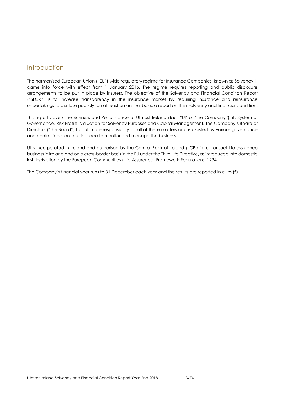## <span id="page-2-0"></span>Introduction

The harmonised European Union ("EU") wide regulatory regime for Insurance Companies, known as Solvency II, came into force with effect from 1 January 2016. The regime requires reporting and public disclosure arrangements to be put in place by insurers. The objective of the Solvency and Financial Condition Report ("SFCR") is to increase transparency in the insurance market by requiring insurance and reinsurance undertakings to disclose publicly, on at least an annual basis, a report on their solvency and financial condition.

This report covers the Business and Performance of Utmost Ireland dac ("UI' or 'the Company"), its System of Governance, Risk Profile, Valuation for Solvency Purposes and Capital Management. The Company's Board of Directors ("the Board") has ultimate responsibility for all of these matters and is assisted by various governance and control functions put in place to monitor and manage the business.

UI is incorporated in Ireland and authorised by the Central Bank of Ireland ("CBoI") to transact life assurance business in Ireland and on a cross-border basis in the EU under the Third Life Directive, as introduced into domestic Irish legislation by the European Communities (Life Assurance) Framework Regulations, 1994.

The Company's financial year runs to 31 December each year and the results are reported in euro (€).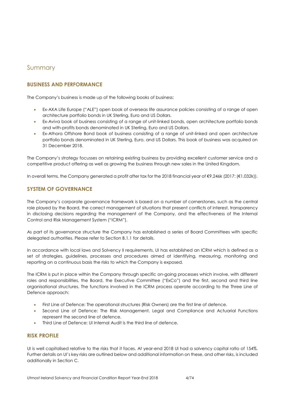## <span id="page-3-0"></span>Summary

## **BUSINESS AND PERFORMANCE**

The Company's business is made up of the following books of business:

- Ex-AXA Life Europe ("ALE") open book of overseas life assurance policies consisting of a range of open architecture portfolio bonds in UK Sterling, Euro and US Dollars.
- Ex-Aviva book of business consisting of a range of unit-linked bonds, open architecture portfolio bonds and with-profits bonds denominated in UK Sterling, Euro and US Dollars.
- Ex-Athora Offshore Bond book of business consisting of a range of unit-linked and open architecture portfolio bonds denominated in UK Sterling, Euro, and US Dollars. This book of business was acquired on 31 December 2018.

The Company's strategy focusses on retaining existing business by providing excellent customer service and a competitive product offering as well as growing the business through new sales in the United Kingdom.

In overall terms, the Company generated a profit after tax for the 2018 financial year of €9,246k (2017: (€1,032k)).

## **SYSTEM OF GOVERNANCE**

The Company's corporate governance framework is based on a number of cornerstones, such as the central role played by the Board, the correct management of situations that present conflicts of interest, transparency in disclosing decisions regarding the management of the Company, and the effectiveness of the Internal Control and Risk Management System ("ICRM").

As part of its governance structure the Company has established a series of Board Committees with specific delegated authorities. Please refer to Section B.1.1 for details.

In accordance with local laws and Solvency II requirements, UI has established an ICRM which is defined as a set of strategies, guidelines, processes and procedures aimed at identifying, measuring, monitoring and reporting on a continuous basis the risks to which the Company is exposed.

The ICRM is put in place within the Company through specific on-going processes which involve, with different roles and responsibilities, the Board, the Executive Committee ("ExCo") and the first, second and third line organisational structures. The functions involved in the ICRM process operate according to the Three Line of Defence approach:

- First Line of Defence: The operational structures (Risk Owners) are the first line of defence.
- Second Line of Defence: The Risk Management, Legal and Compliance and Actuarial Functions represent the second line of defence.
- Third Line of Defence: UI Internal Audit is the third line of defence.

## **RISK PROFILE**

UI is well capitalised relative to the risks that it faces. At year-end 2018 UI had a solvency capital ratio of 154%. Further details on UI's key risks are outlined below and additional information on these, and other risks, is included additionally in Section C.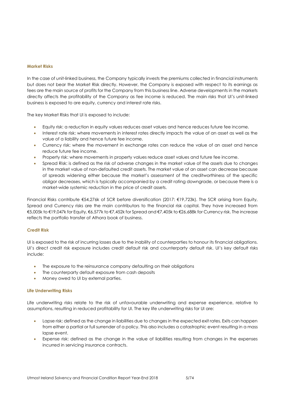#### **Market Risks**

In the case of unit-linked business, the Company typically invests the premiums collected in financial instruments but does not bear the Market Risk directly. However, the Company is exposed with respect to its earnings as fees are the main source of profits for the Company from this business line. Adverse developments in the markets directly affects the profitability of the Company as fee income is reduced. The main risks that UI's unit-linked business is exposed to are equity, currency and interest rate risks.

The key Market Risks that UI is exposed to include:

- Equity risk: a reduction in equity values reduces asset values and hence reduces future fee income.
- Interest rate risk: where movements in interest rates directly impacts the value of an asset as well as the value of a liability and hence future fee income.
- Currency risk: where the movement in exchange rates can reduce the value of an asset and hence reduce future fee income.
- Property risk: where movements in property values reduce asset values and future fee income.
- Spread Risk: is defined as the risk of adverse changes in the market value of the assets due to changes in the market value of non-defaulted credit assets. The market value of an asset can decrease because of spreads widening either because the market's assessment of the creditworthiness of the specific obligor decreases, which is typically accompanied by a credit rating downgrade, or because there is a market-wide systemic reduction in the price of credit assets.

Financial Risks contribute €54,276k of SCR before diversification (2017: €19,723k). The SCR arising from Equity, Spread and Currency risks are the main contributors to the financial risk capital. They have increased from €5,005k to €19,047k for Equity, €6,577k to €7,452k for Spread and €7,405k to €26,688k for Currency risk. The increase reflects the portfolio transfer of Athora book of business.

#### **Credit Risk**

UI is exposed to the risk of incurring losses due to the inability of counterparties to honour its financial obligations. UI's direct credit risk exposure includes credit default risk and counterparty default risk. UI's key default risks include:

- The exposure to the reinsurance company defaulting on their obligations
- The counterparty default exposure from cash deposits
- Money owed to UI by external parties.

#### **Life Underwriting Risks**

Life underwriting risks relate to the risk of unfavourable underwriting and expense experience, relative to assumptions, resulting in reduced profitability for UI. The key life underwriting risks for UI are:

- Lapse risk: defined as the change in liabilities due to changes in the expected exit rates. Exits can happen from either a partial or full surrender of a policy. This also includes a catastrophic event resulting in a mass lapse event.
- Expense risk: defined as the change in the value of liabilities resulting from changes in the expenses incurred in servicing insurance contracts.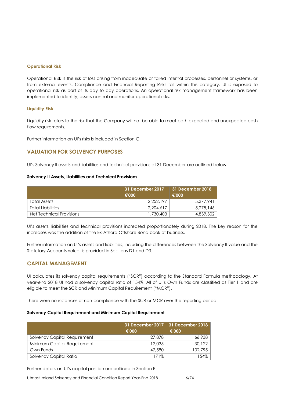#### **Operational Risk**

Operational Risk is the risk of loss arising from inadequate or failed internal processes, personnel or systems, or from external events. Compliance and Financial Reporting Risks fall within this category. UI is exposed to operational risk as part of its day to day operations. An operational risk management framework has been implemented to identify, assess control and monitor operational risks.

#### **Liquidity Risk**

Liquidity risk refers to the risk that the Company will not be able to meet both expected and unexpected cash flow requirements.

Further information on UI's risks is included in Section C.

## **VALUATION FOR SOLVENCY PURPOSES**

UI's Solvency II assets and liabilities and technical provisions at 31 December are outlined below.

#### **Solvency II Assets, Liabilities and Technical Provisions**

|                          | 31 December 2017<br>€'000 | 31 December 2018<br>€'000 |
|--------------------------|---------------------------|---------------------------|
| Total Assets             | 2.252.197                 | 5.377.941                 |
| <b>Total Liabilities</b> | 2.204.617                 | 5.275.146                 |
| Net Technical Provisions | 1,730,403                 | 4,839,302                 |

UI's assets, liabilities and technical provisions increased proportionately during 2018. The key reason for the increases was the addition of the Ex-Athora Offshore Bond book of business.

Further information on UI's assets and liabilities, including the differences between the Solvency II value and the Statutory Accounts value, is provided in Sections D1 and D3.

#### **CAPITAL MANAGEMENT**

UI calculates its solvency capital requirements ("SCR") according to the Standard Formula methodology. At year-end 2018 UI had a solvency capital ratio of 154%. All of UI's Own Funds are classified as Tier 1 and are eligible to meet the SCR and Minimum Capital Requirement ("MCR").

There were no instances of non-compliance with the SCR or MCR over the reporting period.

#### **Solvency Capital Requirement and Minimum Capital Requirement**

|                              | €'000  | 31 December 2017   31 December 2018<br>€'000 |
|------------------------------|--------|----------------------------------------------|
| Solvency Capital Requirement | 27,878 | 66,938                                       |
| Minimum Capital Requirement  | 12,035 | 30.122                                       |
| Own Funds                    | 47,580 | 102.795                                      |
| Solvency Capital Ratio       | 171%   | 154%                                         |

Further details on UI's capital position are outlined in Section E.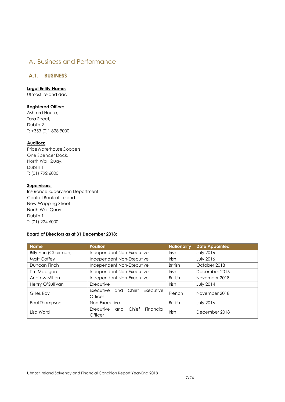## <span id="page-6-0"></span>A. Business and Performance

## <span id="page-6-1"></span>**A.1. BUSINESS**

#### **Legal Entity Name:**

Utmost Ireland dac

#### **Registered Office:**

Ashford House, Tara Street, Dublin 2 T: +353 (0)1 828 9000

#### **Auditors:**

PriceWaterhouseCoopers One Spencer Dock, North Wall Quay, Dublin 1 T: (01) 792 6000

## **Supervisors:**

Insurance Supervision Department Central Bank of Ireland New Wapping Street North Wall Quay Dublin 1 T: (01) 224 6000

## **Board of Directors as at 31 December 2018:**

| <b>Name</b>                  | <b>Position</b>                                       | <b>Nationality</b> | <b>Date Appointed</b> |
|------------------------------|-------------------------------------------------------|--------------------|-----------------------|
| <b>Billy Finn (Chairman)</b> | Independent Non-Executive                             | Irish              | <b>July 2016</b>      |
| Matt Coffey                  | Independent Non-Executive                             | Irish              | <b>July 2016</b>      |
| Duncan Finch                 | Independent Non-Executive                             | <b>British</b>     | October 2018          |
| Tim Madigan                  | Independent Non-Executive                             | Irish              | December 2016         |
| Andrew Milton                | Independent Non-Executive                             | <b>British</b>     | November 2018         |
| Henry O'Sullivan             | Executive                                             | Irish              | <b>July 2014</b>      |
| Gilles Roy                   | Executive and Chief<br>Executive<br>French<br>Officer |                    | November 2018         |
| Paul Thompson                | Non-Executive                                         | <b>British</b>     | <b>July 2016</b>      |
| Lisa Ward                    | Chief<br>Executive<br>Financial<br>and<br>Officer     | Irish              | December 2018         |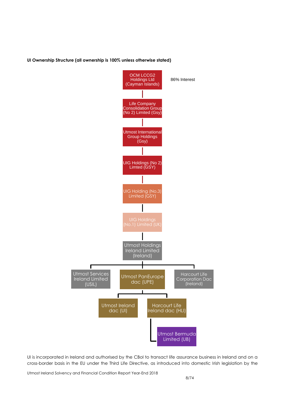#### **UI Ownership Structure (all ownership is 100% unless otherwise stated)**



UI is incorporated in Ireland and authorised by the CBoI to transact life assurance business in Ireland and on a cross-border basis in the EU under the Third Life Directive, as introduced into domestic Irish legislation by the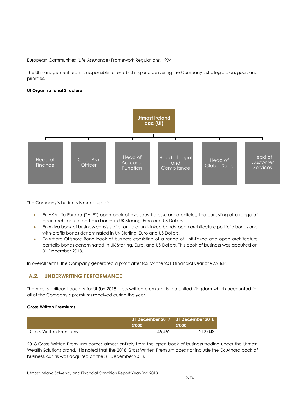European Communities (Life Assurance) Framework Regulations, 1994.

The UI management team is responsible for establishing and delivering the Company's strategic plan, goals and priorities.

#### **UI Organisational Structure**



The Company's business is made up of:

- Ex-AXA Life Europe ("ALE") open book of overseas life assurance policies, line consisting of a range of open architecture portfolio bonds in UK Sterling, Euro and US Dollars.
- Ex-Aviva book of business consists of a range of unit-linked bonds, open architecture portfolio bonds and with-profits bonds denominated in UK Sterling, Euro and US Dollars.
- Ex-Athora Offshore Bond book of business consisting of a range of unit-linked and open architecture portfolio bonds denominated in UK Sterling, Euro, and US Dollars. This book of business was acquired on 31 December 2018.

In overall terms, the Company generated a profit after tax for the 2018 financial year of €9,246k.

## <span id="page-8-0"></span>**A.2. UNDERWRITING PERFORMANCE**

The most significant country for UI (by 2018 gross written premium) is the United Kingdom which accounted for all of the Company's premiums received during the year.

#### **Gross Written Premiums**

|                        | $\epsilon$ '000 | 31 December 2017   31 December 2018<br>€'000 |
|------------------------|-----------------|----------------------------------------------|
| Gross Written Premiums | 45,452          | 212,048                                      |

2018 Gross Written Premiums comes almost entirely from the open book of business trading under the Utmost Wealth Solutions brand. It is noted that the 2018 Gross Written Premium does not include the Ex Athora book of business, as this was acquired on the 31 December 2018.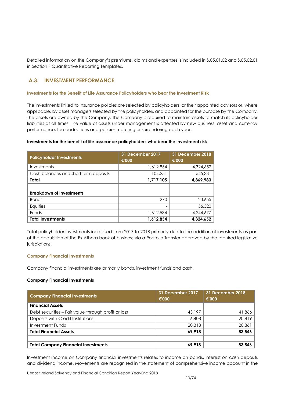Detailed information on the Company's premiums, claims and expenses is included in S.05.01.02 and S.05.02.01 in Section F Quantitative Reporting Templates.

## <span id="page-9-0"></span>**A.3. INVESTMENT PERFORMANCE**

#### **Investments for the Benefit of Life Assurance Policyholders who bear the Investment Risk**

The investments linked to insurance policies are selected by policyholders, or their appointed advisors or, where applicable, by asset managers selected by the policyholders and appointed for the purpose by the Company. The assets are owned by the Company. The Company is required to maintain assets to match its policyholder liabilities at all times. The value of assets under management is affected by new business, asset and currency performance, fee deductions and policies maturing or surrendering each year.

#### **Investments for the benefit of life assurance policyholders who bear the investment risk**

| <b>Policyholder Investments</b>       | <b>31 December 2017</b><br>€'000 | 31 December 2018<br>€'000 |
|---------------------------------------|----------------------------------|---------------------------|
| Investments                           | 1,612,854                        | 4,324,652                 |
| Cash balances and short term deposits | 104,251                          | 545,331                   |
| <b>Total</b>                          | 1,717,105                        | 4,869,983                 |
|                                       |                                  |                           |
| <b>Breakdown of Investments</b>       |                                  |                           |
| <b>Bonds</b>                          | 270                              | 23,655                    |
| Equities                              |                                  | 56,320                    |
| Funds                                 | 1,612,584                        | 4,244,677                 |
| <b>Total Investments</b>              | 1,612,854                        | 4.324.652                 |

Total policyholder investments increased from 2017 to 2018 primarily due to the addition of investments as part of the acquisition of the Ex Athora book of business via a Portfolio Transfer approved by the required legislative jurisdictions.

#### **Company Financial Investments**

Company financial investments are primarily bonds, investment funds and cash.

#### **Company Financial Investments**

| <b>Company Financial Investments</b>                | <b>31 December 2017</b><br>€'000 | 31 December 2018<br>€'000 |
|-----------------------------------------------------|----------------------------------|---------------------------|
| <b>Financial Assets</b>                             |                                  |                           |
| Debt securities – Fair value through profit or loss | 43,197                           | 41,866                    |
| Deposits with Credit Institutions                   | 6,408                            | 20,819                    |
| Investment Funds                                    | 20.313                           | 20,861                    |
| <b>Total Financial Assets</b>                       | 69.918                           | 83,546                    |
|                                                     |                                  |                           |
| <b>Total Company Financial Investments</b>          | 69,918                           | 83,546                    |

Investment income on Company financial investments relates to income on bonds, interest on cash deposits and dividend income. Movements are recognised in the statement of comprehensive income account in the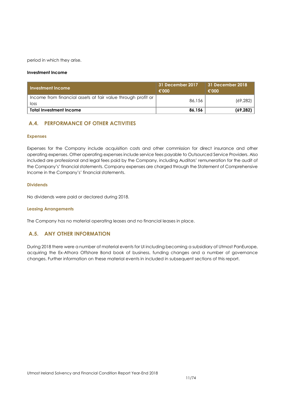period in which they arise.

#### **Investment Income**

| Investment Income                                                    | 31 December 2017<br>€'000 | 31 December 2018<br>€'000 |
|----------------------------------------------------------------------|---------------------------|---------------------------|
| Income from financial assets at fair value through profit or<br>loss | 86,156                    | (69, 282)                 |
| <b>Total Investment Income</b>                                       | 86,156                    | (69, 282)                 |

## <span id="page-10-0"></span>**A.4. PERFORMANCE OF OTHER ACTIVITIES**

#### **Expenses**

Expenses for the Company include acquisition costs and other commission for direct insurance and other operating expenses. Other operating expenses include service fees payable to Outsourced Service Providers. Also included are professional and legal fees paid by the Company, including Auditors' remuneration for the audit of the Company's' financial statements. Company expenses are charged through the Statement of Comprehensive Income in the Company's' financial statements.

#### **Dividends**

No dividends were paid or declared during 2018.

#### **Leasing Arrangements**

The Company has no material operating leases and no financial leases in place.

## <span id="page-10-1"></span>**A.5. ANY OTHER INFORMATION**

During 2018 there were a number of material events for UI including becoming a subsidiary of Utmost PanEurope, acquiring the Ex-Athora Offshore Bond book of business, funding changes and a number of governance changes. Further information on these material events in included in subsequent sections of this report.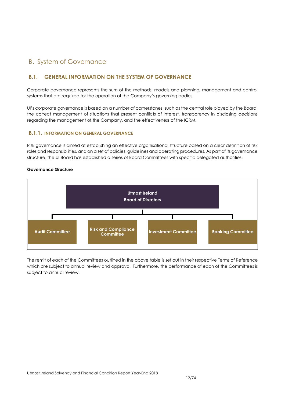## <span id="page-11-0"></span>B. System of Governance

## <span id="page-11-1"></span>**B.1. GENERAL INFORMATION ON THE SYSTEM OF GOVERNANCE**

Corporate governance represents the sum of the methods, models and planning, management and control systems that are required for the operation of the Company's governing bodies.

UI's corporate governance is based on a number of cornerstones, such as the central role played by the Board, the correct management of situations that present conflicts of interest, transparency in disclosing decisions regarding the management of the Company, and the effectiveness of the ICRM.

## **B.1.1. INFORMATION ON GENERAL GOVERNANCE**

Risk governance is aimed at establishing an effective organisational structure based on a clear definition of risk roles and responsibilities, and on a set of policies, guidelines and operating procedures. As part of its governance structure, the UI Board has established a series of Board Committees with specific delegated authorities.

#### **Governance Structure**



The remit of each of the Committees outlined in the above table is set out in their respective Terms of Reference which are subject to annual review and approval. Furthermore, the performance of each of the Committees is subject to annual review.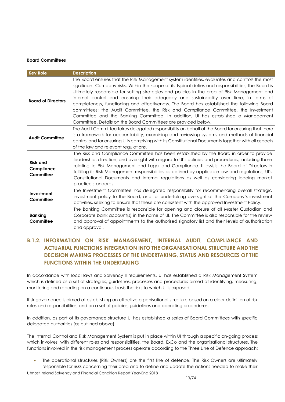#### **Board Committees**

| <b>Key Role</b>                            | <b>Description</b>                                                                                                                                                                                                                                                                                                                                                                                                                                                                                                                                                                                                                                                                                                                          |
|--------------------------------------------|---------------------------------------------------------------------------------------------------------------------------------------------------------------------------------------------------------------------------------------------------------------------------------------------------------------------------------------------------------------------------------------------------------------------------------------------------------------------------------------------------------------------------------------------------------------------------------------------------------------------------------------------------------------------------------------------------------------------------------------------|
| <b>Board of Directors</b>                  | The Board ensures that the Risk Management system identifies, evaluates and controls the most<br>significant Company risks. Within the scope of its typical duties and responsibilities, the Board is<br>ultimately responsible for setting strategies and policies in the area of Risk Management and<br>internal control and ensuring their adequacy and sustainability over time, in terms of<br>completeness, functioning and effectiveness. The Board has established the following Board<br>committees: the Audit Committee, the Risk and Compliance Committee, the Investment<br>Committee and the Banking Committee. In addition, UI has established a Management<br>Committee. Details on the Board Committees are provided below. |
| <b>Audit Committee</b>                     | The Audit Committee takes delegated responsibility on behalf of the Board for ensuring that there<br>is a framework for accountability, examining and reviewing systems and methods of financial<br>control and for ensuring UI is complying with its Constitutional Documents together with all aspects<br>of the law and relevant regulations.                                                                                                                                                                                                                                                                                                                                                                                            |
| <b>Risk and</b><br>Compliance<br>Committee | The Risk and Compliance Committee has been established by the Board in order to provide<br>leadership, direction, and oversight with regard to UI's policies and procedures, including those<br>relating to Risk Management and Legal and Compliance. It assists the Board of Directors in<br>fulfilling its Risk Management responsibilities as defined by applicable law and regulations, UI's<br>Constitutional Documents and internal regulations as well as considering leading market<br>practice standards.                                                                                                                                                                                                                          |
| Investment<br>Committee                    | The Investment Committee has delegated responsibility for recommending overall strategic<br>investment policy to the Board, and for undertaking oversight of the Company's investment<br>activities, seeking to ensure that these are consistent with the approved Investment Policy.                                                                                                                                                                                                                                                                                                                                                                                                                                                       |
| <b>Banking</b><br>Committee                | The Banking Committee is responsible for opening and closure of all Master Custodian and<br>Corporate bank account(s) in the name of UI. The Committee is also responsible for the review<br>and approval of appointments to the authorised signatory list and their levels of authorisation<br>and approval.                                                                                                                                                                                                                                                                                                                                                                                                                               |

## **B.1.2. INFORMATION ON RISK MANAGEMENT, INTERNAL AUDIT, COMPLIANCE AND ACTUARIAL FUNCTIONS INTEGRATION INTO THE ORGANISATIONAL STRUCTURE AND THE DECISION MAKING PROCESSES OF THE UNDERTAKING, STATUS AND RESOURCES OF THE FUNCTIONS WITHIN THE UNDERTAKING**

In accordance with local laws and Solvency II requirements, UI has established a Risk Management System which is defined as a set of strategies, guidelines, processes and procedures aimed at identifying, measuring, monitoring and reporting on a continuous basis the risks to which UI is exposed.

Risk governance is aimed at establishing an effective organisational structure based on a clear definition of risk roles and responsibilities, and on a set of policies, guidelines and operating procedures.

In addition, as part of its governance structure UI has established a series of Board Committees with specific delegated authorities (as outlined above).

The Internal Control and Risk Management System is put in place within UI through a specific on-going process which involves, with different roles and responsibilities, the Board, ExCo and the organisational structures. The functions involved in the risk management process operate according to the Three Line of Defence approach:

 The operational structures (Risk Owners) are the first line of defence. The Risk Owners are ultimately responsible for risks concerning their area and to define and update the actions needed to make their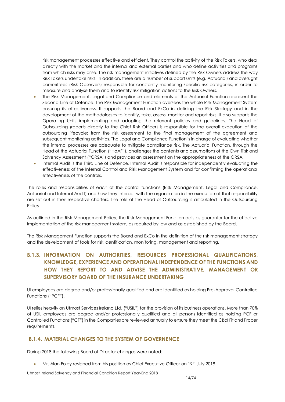risk management processes effective and efficient. They control the activity of the Risk Takers, who deal directly with the market and the internal and external parties and who define activities and programs from which risks may arise. The risk management initiatives defined by the Risk Owners address the way Risk Takers undertake risks. In addition, there are a number of support units (e.g. Actuarial) and oversight committees (Risk Observers) responsible for constantly monitoring specific risk categories, in order to measure and analyse them and to identity risk mitigation actions to the Risk Owners.

- The Risk Management, Legal and Compliance and elements of the Actuarial Function represent the Second Line of Defence. The Risk Management Function oversees the whole Risk Management System ensuring its effectiveness. It supports the Board and ExCo in defining the Risk Strategy and in the development of the methodologies to identify, take, assess, monitor and report risks. It also supports the Operating Units implementing and adopting the relevant policies and guidelines. The Head of Outsourcing (reports directly to the Chief Risk Officer) is responsible for the overall execution of the outsourcing lifecycle; from the risk assessment to the final management of the agreement and subsequent monitoring activities. The Legal and Compliance Function is in charge of evaluating whether the internal processes are adequate to mitigate compliance risk. The Actuarial Function, through the Head of the Actuarial Function ("HoAF"), challenges the contents and assumptions of the Own Risk and Solvency Assessment ("ORSA") and provides an assessment on the appropriateness of the ORSA.
- Internal Audit is the Third Line of Defence. Internal Audit is responsible for independently evaluating the effectiveness of the Internal Control and Risk Management System and for confirming the operational effectiveness of the controls.

The roles and responsibilities of each of the control functions (Risk Management, Legal and Compliance, Actuarial and Internal Audit) and how they interact with the organisation in the execution of that responsibility are set out in their respective charters. The role of the Head of Outsourcing is articulated in the Outsourcing Policy.

As outlined in the Risk Management Policy, the Risk Management Function acts as guarantor for the effective implementation of the risk management system, as required by law and as established by the Board.

The Risk Management Function supports the Board and ExCo in the definition of the risk management strategy and the development of tools for risk identification, monitoring, management and reporting.

## **B.1.3. INFORMATION ON AUTHORITIES, RESOURCES PROFESSIONAL QUALIFICATIONS, KNOWLEDGE, EXPERIENCE AND OPERATIONAL INDEPENDENCE OF THE FUNCTIONS AND HOW THEY REPORT TO AND ADVISE THE ADMINISTRATIVE, MANAGEMENT OR SUPERVISORY BOARD OF THE INSURANCE UNDERTAKING**

UI employees are degree and/or professionally qualified and are identified as holding Pre-Approval Controlled Functions ("PCF").

UI relies heavily on Utmost Services Ireland Ltd. ("USIL") for the provision of its business operations. More than 70% of USIL employees are degree and/or professionally qualified and all persons identified as holding PCF or Controlled Functions ("CF") in the Companies are reviewed annually to ensure they meet the CBoI Fit and Proper requirements.

## **B.1.4. MATERIAL CHANGES TO THE SYSTEM OF GOVERNENCE**

During 2018 the following Board of Director changes were noted:

Mr. Alan Foley resigned from his position as Chief Executive Officer on 19<sup>th</sup> July 2018.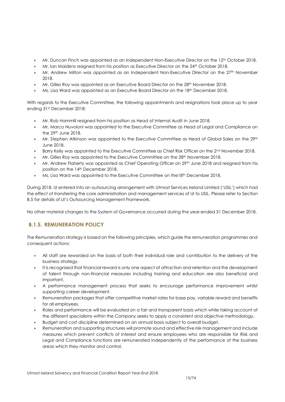- Mr. Duncan Finch was appointed as an Independent Non-Executive Director on the 12th October 2018.
- Mr. Ian Maidens resigned from his position as Executive Director on the 24th October 2018.
- Mr. Andrew Milton was appointed as an Independent Non-Executive Director on the 27<sup>th</sup> November 2018.
- Mr. Gilles Roy was appointed as an Executive Board Director on the 28<sup>th</sup> November 2018.
- Ms. Lisa Ward was appointed as an Executive Board Director on the 18th December 2018.

With regards to the Executive Committee, the following appointments and resignations took place up to year ending 31st December 2018:

- Mr. Rob Hammill resigned from his position as Head of Internal Audit in June 2018.
- Mr. Marco Nuvoloni was appointed to the Executive Committee as Head of Legal and Compliance on the 29th June 2018.
- Mr. Stephen Atkinson was appointed to the Executive Committee as Head of Global Sales on the 29<sup>th</sup> June 2018.
- **Barry Kelly was appointed to the Executive Committee as Chief Risk Officer on the 2nd November 2018.**
- Mr. Gilles Roy was appointed to the Executive Committee on the 28<sup>th</sup> November 2018.
- Mr. Andrew Flaherty was appointed as Chief Operating Officer on 29<sup>th</sup> June 2018 and resigned from his position on the 14<sup>th</sup> December 2018.
- Ms. Lisa Ward was appointed to the Executive Committee on the 18<sup>th</sup> December 2018.

During 2018, UI entered into an outsourcing arrangement with Utmost Services Ireland Limited ('USIL') which had the effect of transferring the core administration and management services of UI to USIL. Please refer to Section B.5 for details of UI's Outsourcing Management Framework.

No other material changes to the System of Governance occurred during the year-ended 31 December 2018.

## **B.1.5. REMUNERATION POLICY**

The Remuneration strategy is based on the following principles, which guide the remuneration programmes and consequent actions:

- All staff are rewarded on the basis of both their individual role and contribution to the delivery of the business strategy.
- It is recognised that financial reward is only one aspect of attraction and retention and the development of talent through non-financial measures including training and education are also beneficial and important.
- A performance management process that seeks to encourage performance improvement whilst supporting career development.
- Remuneration packages that offer competitive market rates for base pay, variable reward and benefits for all employees.
- Roles and performance will be evaluated on a fair and transparent basis which while taking account of the different specialisms within the Company seeks to apply a consistent and objective methodology.
- Budget and cost discipline determined on an annual basis subject to overall budget.
- Remuneration and supporting structures will promote sound and effective risk management and include measures which prevent conflicts of interest and ensure employees who are responsible for Risk and Legal and Compliance functions are remunerated independently of the performance of the business areas which they monitor and control.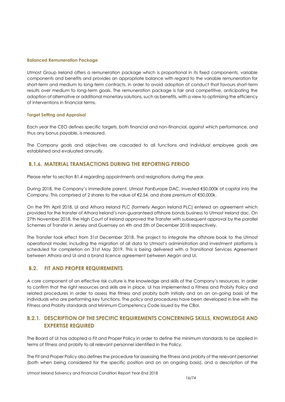#### **Balanced Remuneration Package**

Utmost Group Ireland offers a remuneration package which is proportional in its fixed components, variable components and benefits and provides an appropriate balance with regard to the variable remuneration for short-term and medium to long-term contracts, in order to avoid adoption of conduct that favours short-term results over medium to long-term goals. The remuneration package is fair and competitive, anticipating the adoption of alternative or additional monetary solutions, such as benefits, with a view to optimising the efficiency of interventions in financial terms.

#### **Target Setting and Appraisal**

Each year the CEO defines specific targets, both financial and non-financial, against which performance, and thus any bonus payable, is measured.

The Company goals and objectives are cascaded to all functions and individual employee goals are established and evaluated annually.

## **B.1.6. MATERIAL TRANSACTIONS DURING THE REPORTING PERIOD**

Please refer to section B1.4 regarding appointments and resignations during the year.

During 2018, the Company's immediate parent, Utmost PanEurope DAC, invested €50,000k of capital into the Company. This comprised of 2 shares to the value of €2.54, and share premium of €50,000k.

On the 9th April 2018, UI and Athora Ireland PLC (formerly Aegon Ireland PLC) entered an agreement which provided for the transfer of Athora Ireland's non-guaranteed offshore bonds business to Utmost Ireland dac. On 27th November 2018, the High Court of Ireland approved the Transfer with subsequent approval by the parallel Schemes of Transfer in Jersey and Guernsey on 4th and 5th of December 2018 respectively.

The Transfer took effect from 31st December 2018. The project to integrate the offshore book to the Utmost operational model, including the migration of all data to Utmost's administration and investment platforms is scheduled for completion on 31st May 2019. This is being delivered with a Transitional Services Agreement between Athora and UI and a brand licence agreement between Aegon and UI.

## <span id="page-15-0"></span>**B.2. FIT AND PROPER REQUIREMENTS**

A core component of an effective risk culture is the knowledge and skills of the Company's resources. In order to confirm that the right resources and skills are in place, UI has implemented a Fitness and Probity Policy and related procedures in order to assess the fitness and probity both initially and on an on-going basis of the individuals who are performing key functions. The policy and procedures have been developed in line with the Fitness and Probity standards and Minimum Competency Code issued by the CBoI.

## **B.2.1. DESCRIPTION OF THE SPECIFIC REQUIREMENTS CONCERNING SKILLS, KNOWLEDGE AND EXPERTISE REQUIRED**

The Board of UI has adopted a Fit and Proper Policy in order to define the minimum standards to be applied in terms of fitness and probity to all relevant personnel identified in the Policy.

The Fit and Proper Policy also defines the procedure for assessing the fitness and probity of the relevant personnel (both when being considered for the specific position and on an ongoing basis), and a description of the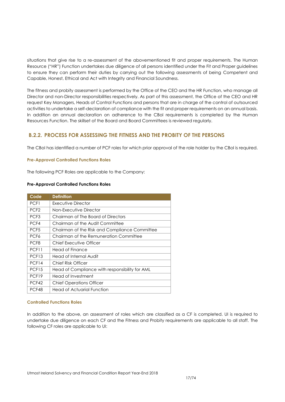situations that give rise to a re-assessment of the abovementioned fit and proper requirements. The Human Resource ("HR") Function undertakes due diligence of all persons identified under the Fit and Proper guidelines to ensure they can perform their duties by carrying out the following assessments of being Competent and Capable, Honest, Ethical and Act with Integrity and Financial Soundness.

The fitness and probity assessment is performed by the Office of the CEO and the HR Function, who manage all Director and non-Director responsibilities respectively. As part of this assessment, the Office of the CEO and HR request Key Managers, Heads of Control Functions and persons that are in charge of the control of outsourced activities to undertake a self-declaration of compliance with the fit and proper requirements on an annual basis. In addition an annual declaration on adherence to the CBoI requirements is completed by the Human Resources Function. The skillset of the Board and Board Committees is reviewed regularly.

## **B.2.2. PROCESS FOR ASSESSING THE FITNESS AND THE PROBITY OF THE PERSONS**

The CBoI has identified a number of PCF roles for which prior approval of the role holder by the CBoI is required.

#### **Pre-Approval Controlled Functions Roles**

The following PCF Roles are applicable to the Company:

#### **Pre-Approval Controlled Functions Roles**

| Code              | <b>Definition</b>                              |
|-------------------|------------------------------------------------|
| PCF1              | Executive Director                             |
| PCF <sub>2</sub>  | Non-Executive Director                         |
| PCF <sub>3</sub>  | Chairman of The Board of Directors             |
| PCF4              | Chairman of the Audit Committee                |
| PCF <sub>5</sub>  | Chairman of the Risk and Compliance Committee  |
| PCF <sub>6</sub>  | Chairman of the Remuneration Committee         |
| PCF <sub>8</sub>  | Chief Executive Officer                        |
| PCF11             | Head of Finance                                |
| PCF <sub>13</sub> | Head of Internal Audit                         |
| PCF14             | Chief Risk Officer                             |
| PCF <sub>15</sub> | Head of Compliance with responsibility for AML |
| PCF <sub>19</sub> | Head of Investment                             |
| PCF42             | <b>Chief Operations Officer</b>                |
| PCF48             | Head of Actuarial Function                     |

#### **Controlled Functions Roles**

In addition to the above, an assessment of roles which are classified as a CF is completed. UI is required to undertake due diligence on each CF and the Fitness and Probity requirements are applicable to all staff. The following CF roles are applicable to UI: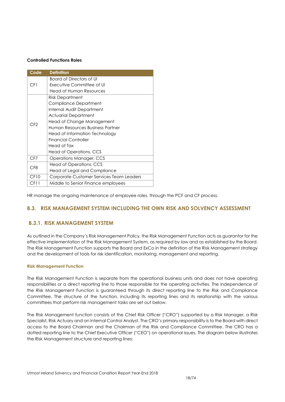#### **Controlled Functions Roles**

| Code            | <b>Definition</b>                        |  |  |  |  |
|-----------------|------------------------------------------|--|--|--|--|
|                 | Board of Directors of UI                 |  |  |  |  |
| CF1             | Executive Committee of UI                |  |  |  |  |
|                 | Head of Human Resources                  |  |  |  |  |
|                 | Risk Department                          |  |  |  |  |
|                 | Compliance Department                    |  |  |  |  |
|                 | Internal Audit Department                |  |  |  |  |
|                 | Actuarial Department                     |  |  |  |  |
| CF2             | Head of Change Management                |  |  |  |  |
|                 | Human Resources Business Partner         |  |  |  |  |
|                 | Head of Information Technology           |  |  |  |  |
|                 | <b>Financial Controller</b>              |  |  |  |  |
|                 | Head of Tax                              |  |  |  |  |
|                 | Head of Operations, CCS                  |  |  |  |  |
| CF7             | Operations Manager, CCS                  |  |  |  |  |
| CF <sub>8</sub> | Head of Operations, CCS                  |  |  |  |  |
|                 | Head of Legal and Compliance             |  |  |  |  |
| CF10            | Corporate Customer Services Team Leaders |  |  |  |  |
| CF11            | Middle to Senior Finance employees       |  |  |  |  |

HR manage the ongoing maintenance of employee roles, through the PCF and CF process.

## <span id="page-17-0"></span>**B.3. RISK MANAGEMENT SYSTEM INCLUDING THE OWN RISK AND SOLVENCY ASSESSMENT**

## **B.3.1. RISK MANAGEMENT SYSTEM**

As outlined in the Company's Risk Management Policy, the Risk Management Function acts as guarantor for the effective implementation of the Risk Management System, as required by law and as established by the Board. The Risk Management Function supports the Board and ExCo in the definition of the Risk Management strategy and the development of tools for risk identification, monitoring, management and reporting.

#### **Risk Management Function**

The Risk Management Function is separate from the operational business units and does not have operating responsibilities or a direct reporting line to those responsible for the operating activities. The independence of the Risk Management Function is guaranteed through its direct reporting line to the Risk and Compliance Committee. The structure of the function, including its reporting lines and its relationship with the various committees that perform risk management tasks are set out below.

The Risk Management function consists of the Chief Risk Officer ("CRO") supported by a Risk Manager, a Risk Specialist, Risk Actuary and an Internal Control Analyst. The CRO's primary responsibility is to the Board with direct access to the Board Chairman and the Chairman of the Risk and Compliance Committee. The CRO has a dotted reporting line to the Chief Executive Officer ("CEO") on operational issues. The diagram below illustrates the Risk Management structure and reporting lines: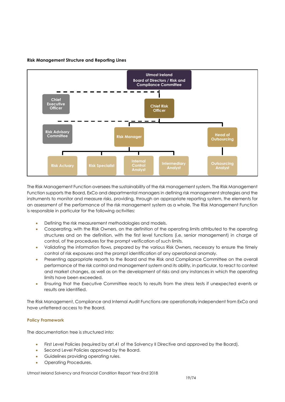

#### **Risk Management Structure and Reporting Lines**

The Risk Management Function oversees the sustainability of the risk management system. The Risk Management Function supports the Board, ExCo and departmental managers in defining risk management strategies and the instruments to monitor and measure risks, providing, through an appropriate reporting system, the elements for an assessment of the performance of the risk management system as a whole. The Risk Management Function is responsible in particular for the following activities:

- Defining the risk measurement methodologies and models.
- Cooperating, with the Risk Owners, on the definition of the operating limits attributed to the operating structures and on the definition, with the first level functions (i.e. senior management) in charge of control, of the procedures for the prompt verification of such limits.
- Validating the information flows, prepared by the various Risk Owners, necessary to ensure the timely control of risk exposures and the prompt identification of any operational anomaly.
- Presenting appropriate reports to the Board and the Risk and Compliance Committee on the overall performance of the risk control and management system and its ability, in particular, to react to context and market changes, as well as on the development of risks and any instances in which the operating limits have been exceeded.
- Ensuring that the Executive Committee reacts to results from the stress tests if unexpected events or results are identified.

The Risk Management, Compliance and Internal Audit Functions are operationally independent from ExCo and have unfettered access to the Board.

#### **Policy Framework**

The documentation tree is structured into:

- First Level Policies (required by art.41 of the Solvency II Directive and approved by the Board).
- Second Level Policies approved by the Board.
- **•** Guidelines providing operating rules.
- Operating Procedures.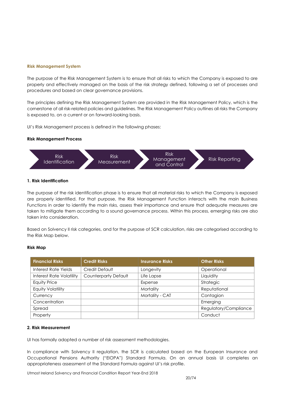#### **Risk Management System**

The purpose of the Risk Management System is to ensure that all risks to which the Company is exposed to are properly and effectively managed on the basis of the risk strategy defined, following a set of processes and procedures and based on clear governance provisions.

The principles defining the Risk Management System are provided in the Risk Management Policy, which is the cornerstone of all risk-related policies and guidelines. The Risk Management Policy outlines all risks the Company is exposed to, on a current or on forward-looking basis.

UI's Risk Management process is defined in the following phases:

#### **Risk Management Process**



#### **1. Risk Identification**

The purpose of the risk identification phase is to ensure that all material risks to which the Company is exposed are properly identified. For that purpose, the Risk Management Function interacts with the main Business Functions in order to identify the main risks, assess their importance and ensure that adequate measures are taken to mitigate them according to a sound governance process. Within this process, emerging risks are also taken into consideration.

Based on Solvency II risk categories, and for the purpose of SCR calculation, risks are categorised according to the Risk Map below.

#### **Risk Map**

| <b>Financial Risks</b>          | <b>Credit Risks</b>         | <b>Insurance Risks</b> | <b>Other Risks</b>    |
|---------------------------------|-----------------------------|------------------------|-----------------------|
| Interest Rate Yields            | Credit Default              | Longevity              | Operational           |
| <b>Interest Rate Volatility</b> | <b>Counterparty Default</b> | Life Lapse             | Liquidity             |
| <b>Equity Price</b>             |                             | Expense                | Strategic             |
| <b>Equity Volatility</b>        |                             | Mortality              | Reputational          |
| Currency                        |                             | Mortality - CAT        | Contagion             |
| Concentration                   |                             |                        | Emerging              |
| Spread                          |                             |                        | Regulatory/Compliance |
| Property                        |                             |                        | Conduct               |

#### **2. Risk Measurement**

UI has formally adopted a number of risk assessment methodologies.

In compliance with Solvency II regulation, the SCR is calculated based on the European Insurance and Occupational Pensions Authority ("EIOPA") Standard Formula. On an annual basis UI completes an appropriateness assessment of the Standard Formula against UI's risk profile.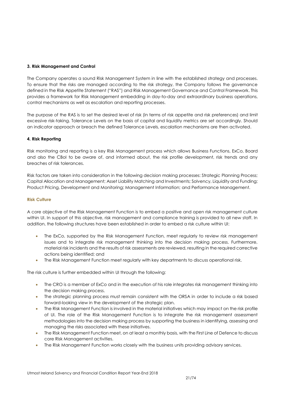#### **3. Risk Management and Control**

The Company operates a sound Risk Management System in line with the established strategy and processes. To ensure that the risks are managed according to the risk strategy, the Company follows the governance defined in the Risk Appetite Statement ("RAS") and Risk Management Governance and Control Framework. This provides a framework for Risk Management embedding in day-to-day and extraordinary business operations, control mechanisms as well as escalation and reporting processes.

The purpose of the RAS is to set the desired level of risk (in terms of risk appetite and risk preferences) and limit excessive risk-taking. Tolerance Levels on the basis of capital and liquidity metrics are set accordingly. Should an indicator approach or breach the defined Tolerance Levels, escalation mechanisms are then activated.

#### **4. Risk Reporting**

Risk monitoring and reporting is a key Risk Management process which allows Business Functions, ExCo, Board and also the CBoI to be aware of, and informed about, the risk profile development, risk trends and any breaches of risk tolerances.

Risk factors are taken into consideration in the following decision making processes: Strategic Planning Process; Capital Allocation and Management; Asset Liability Matching and Investments; Solvency, Liquidity and Funding; Product Pricing, Development and Monitoring; Management Information; and Performance Management.

#### **Risk Culture**

A core objective of the Risk Management Function is to embed a positive and open risk management culture within UI. In support of this objective, risk management and compliance training is provided to all new staff. In addition, the following structures have been established in order to embed a risk culture within UI:

- The ExCo, supported by the Risk Management Function, meet regularly to review risk management issues and to integrate risk management thinking into the decision making process. Furthermore, material risk incidents and the results of risk assessments are reviewed, resulting in the required corrective actions being identified; and
- The Risk Management Function meet regularly with key departments to discuss operational risk.

The risk culture is further embedded within UI through the following:

- The CRO is a member of ExCo and in the execution of his role integrates risk management thinking into the decision making process.
- The strategic planning process must remain consistent with the ORSA in order to include a risk based forward-looking view in the development of the strategic plan.
- The Risk Management Function is involved in the material initiatives which may impact on the risk profile of UI. The role of the Risk Management Function is to integrate the risk management assessment methodologies into the decision making process by supporting the business in identifying, assessing and managing the risks associated with these initiatives.
- The Risk Management Function meet, on at least a monthly basis, with the First Line of Defence to discuss core Risk Management activities.
- The Risk Management Function works closely with the business units providing advisory services.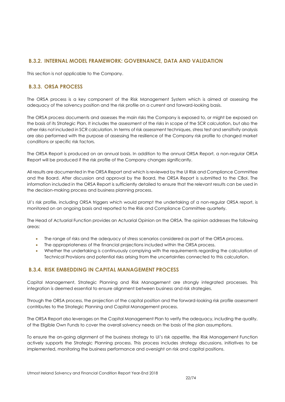## **B.3.2. INTERNAL MODEL FRAMEWORK: GOVERNANCE, DATA AND VALIDATION**

This section is not applicable to the Company.

## **B.3.3. ORSA PROCESS**

The ORSA process is a key component of the Risk Management System which is aimed at assessing the adequacy of the solvency position and the risk profile on a current and forward-looking basis.

The ORSA process documents and assesses the main risks the Company is exposed to, or might be exposed on the basis of its Strategic Plan. It includes the assessment of the risks in scope of the SCR calculation, but also the other risks not included in SCR calculation. In terms of risk assessment techniques, stress test and sensitivity analysis are also performed with the purpose of assessing the resilience of the Company risk profile to changed market conditions or specific risk factors.

The ORSA Report is produced on an annual basis. In addition to the annual ORSA Report, a non-regular ORSA Report will be produced if the risk profile of the Company changes significantly.

All results are documented in the ORSA Report and which is reviewed by the UI Risk and Compliance Committee and the Board. After discussion and approval by the Board, the ORSA Report is submitted to the CBoI. The information included in the ORSA Report is sufficiently detailed to ensure that the relevant results can be used in the decision-making process and business planning process.

UI's risk profile, including ORSA triggers which would prompt the undertaking of a non-regular ORSA report, is monitored on an ongoing basis and reported to the Risk and Compliance Committee quarterly.

The Head of Actuarial Function provides an Actuarial Opinion on the ORSA. The opinion addresses the following areas:

- The range of risks and the adequacy of stress scenarios considered as part of the ORSA process.
- The appropriateness of the financial projections included within the ORSA process.
- Whether the undertaking is continuously complying with the requirements regarding the calculation of Technical Provisions and potential risks arising from the uncertainties connected to this calculation.

## **B.3.4. RISK EMBEDDING IN CAPITAL MANAGEMENT PROCESS**

Capital Management, Strategic Planning and Risk Management are strongly integrated processes. This integration is deemed essential to ensure alignment between business and risk strategies.

Through the ORSA process, the projection of the capital position and the forward-looking risk profile assessment contributes to the Strategic Planning and Capital Management process.

The ORSA Report also leverages on the Capital Management Plan to verify the adequacy, including the quality, of the Eligible Own Funds to cover the overall solvency needs on the basis of the plan assumptions.

To ensure the on-going alignment of the business strategy to UI's risk appetite, the Risk Management Function actively supports the Strategic Planning process. This process includes strategy discussions, initiatives to be implemented, monitoring the business performance and oversight on risk and capital positions.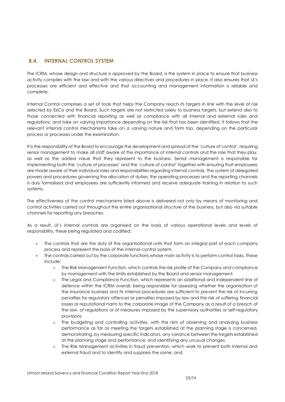## <span id="page-22-0"></span>**B.4. INTERNAL CONTROL SYSTEM**

The ICRM, whose design and structure is approved by the Board, is the system in place to ensure that business activity complies with the law and with the various directives and procedures in place. It also ensures that UI's processes are efficient and effective and that accounting and management information is reliable and complete.

Internal Control comprises a set of tools that helps the Company reach its targets in line with the level of risk selected by ExCo and the Board. Such targets are not restricted solely to business targets, but extend also to those connected with financial reporting as well as compliance with all internal and external rules and regulations, and take on varying importance depending on the risk that has been identified. It follows that the relevant internal control mechanisms take on a varying nature and form too, depending on the particular process or processes under the examination.

It is the responsibility of the Board to encourage the development and spread of the 'culture of control', requiring senior management to make all staff aware of the importance of internal controls and the role that they play, as well as the added value that they represent to the business. Senior management is responsible for implementing both the 'culture of processes' and the 'culture of control' together with ensuring that employees are made aware of their individual roles and responsibilities regarding internal controls. The system of delegated powers and procedures governing the allocation of duties, the operating processes and the reporting channels is duly formalised and employees are sufficiently informed and receive adequate training in relation to such systems.

The effectiveness of the control mechanisms listed above is delivered not only by means of monitoring and control activities carried out throughout the entire organisational structure of the business, but also via suitable channels for reporting any breaches.

As a result, UI's internal controls are organised on the basis of various operational levels and levels of responsibility, these being regulated and codified:

- The controls that are the duty of the organisational units that form an integral part of each company process and represent the basis of the internal control system.
- The controls carried out by the corporate functions whose main activity is to perform control tasks. These include:
	- o The Risk Management Function, which controls the risk profile of the Company and compliance by management with the limits established by the Board and senior management;
	- o The Legal and Compliance Function, which represents an additional and independent line of defence within the ICRM overall, being responsible for assessing whether the organisation of the insurance business and its internal procedures are sufficient to prevent the risk of incurring penalties for regulatory offences or penalties imposed by law and the risk of suffering financial losses or reputational harm to the corporate image of the Company as a result of a breach of the law, of regulations or of measures imposed by the supervisory authorities or self-regulatory provisions
	- o The budgeting and controlling activities, with the aim of observing and analysing business performance as far as meeting the targets established at the planning stage is concerned, demonstrating, by measuring specific indicators, any variance between the targets established at the planning stage and performance, and identifying any unusual changes;
	- o The Risk Management activities in fraud prevention, which work to prevent both internal and external fraud and to identify and suppress the same; and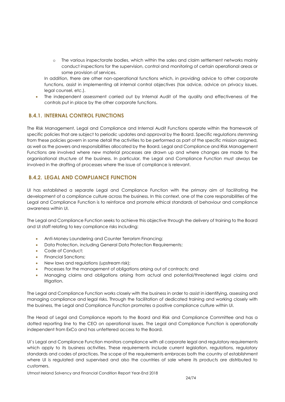o The various inspectorate bodies, which within the sales and claim settlement networks mainly conduct inspections for the supervision, control and monitoring of certain operational areas or some provision of services.

In addition, there are other non-operational functions which, in providing advice to other corporate functions, assist in implementing all internal control objectives (tax advice, advice on privacy issues, legal counsel, etc.).

 The independent assessment carried out by Internal Audit of the quality and effectiveness of the controls put in place by the other corporate functions.

## **B.4.1. INTERNAL CONTROL FUNCTIONS**

The Risk Management, Legal and Compliance and Internal Audit Functions operate within the framework of specific policies that are subject to periodic updates and approval by the Board. Specific regulations stemming from these policies govern in some detail the activities to be performed as part of the specific mission assigned, as well as the powers and responsibilities allocated by the Board. Legal and Compliance and Risk Management Functions are involved where new material processes are drawn up and where changes are made to the organisational structure of the business. In particular, the Legal and Compliance Function must always be involved in the drafting of processes where the issue of compliance is relevant.

## **B.4.2. LEGAL AND COMPLIANCE FUNCTION**

UI has established a separate Legal and Compliance Function with the primary aim of facilitating the development of a compliance culture across the business. In this context, one of the core responsibilities of the Legal and Compliance Function is to reinforce and promote ethical standards of behaviour and compliance awareness within UI.

The Legal and Compliance Function seeks to achieve this objective through the delivery of training to the Board and UI staff relating to key compliance risks including:

- Anti-Money Laundering and Counter Terrorism Financing;
- Data Protection, including General Data Protection Requirements;
- Code of Conduct;
- Financial Sanctions;
- New laws and regulations (upstream risk);
- Processes for the management of obligations arising out of contracts; and
- Managing claims and obligations arising from actual and potential/threatened legal claims and litigation.

The Legal and Compliance Function works closely with the business in order to assist in identifying, assessing and managing compliance and legal risks. Through the facilitation of dedicated training and working closely with the business, the Legal and Compliance Function promotes a positive compliance culture within UI.

The Head of Legal and Compliance reports to the Board and Risk and Compliance Committee and has a dotted reporting line to the CEO on operational issues. The Legal and Compliance Function is operationally independent from ExCo and has unfettered access to the Board.

UI's Legal and Compliance Function monitors compliance with all corporate legal and regulatory requirements which apply to its business activities. These requirements include current legislation, regulations, regulatory standards and codes of practices. The scope of the requirements embraces both the country of establishment where UI is regulated and supervised and also the countries of sale where its products are distributed to customers.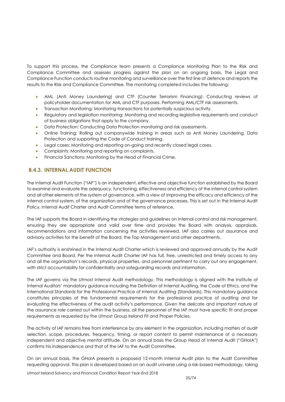To support this process, the Compliance team presents a Compliance Monitoring Plan to the Risk and Compliance Committee and assesses progress against the plan on an ongoing basis. The Legal and Compliance Function conducts routine monitoring and surveillance over the first line of defence and reports the results to the Risk and Compliance Committee. The monitoring completed includes the following:

- AML (Anti Money Laundering) and CTF (Counter Terrorism Financing): Conducting reviews of policyholder documentation for AML and CTF purposes. Performing AML/CTF risk assessments.
- Transaction Monitoring: Monitoring transactions for potentially suspicious activity.
- Regulatory and legislation monitoring: Monitoring and recording legislative requirements and conduct of business obligations that apply to the company.
- Data Protection: Conducting Data Protection monitoring and risk assessments.
- Online Training: Rolling out companywide training in areas such as Anti Money Laundering, Data Protection and supporting the Code of Conduct training.
- Legal cases: Monitoring and reporting on-going and recently closed legal cases.
- Complaints: Monitoring and reporting on complaints.
- Financial Sanctions: Monitoring by the Head of Financial Crime.

## **B.4.3. INTERNAL AUDIT FUNCTION**

The Internal Audit Function ("IAF") is an independent, effective and objective function established by the Board to examine and evaluate the adequacy, functioning, effectiveness and efficiency of the internal control system and all other elements of the system of governance, with a view of improving the efficacy and efficiency of the internal control system, of the organization and of the governance processes. This is set out in the Internal Audit Policy, Internal Audit Charter and Audit Committee terms of reference.

The IAF supports the Board in identifying the strategies and guidelines on internal control and risk management, ensuring they are appropriate and valid over time and provides the Board with analysis, appraisals, recommendations and information concerning the activities reviewed. IAF also carries out assurance and advisory activities for the benefit of the Board, the Top Management and other departments.

IAF's authority is enshrined in the Internal Audit Charter which is reviewed and approved annually by the Audit Committee and Board. Per the Internal Audit Charter IAF has full, free, unrestricted and timely access to any and all the organisation's records, physical properties, and personnel pertinent to carry out any engagement, with strict accountability for confidentiality and safeguarding records and information.

The IAF governs via the Utmost Internal Audit methodology. This methodology is aligned with the Institute of Internal Auditors' mandatory guidance including the Definition of Internal Auditing, the Code of Ethics, and the International Standards for the Professional Practice of Internal Auditing (Standards). This mandatory guidance constitutes principles of the fundamental requirements for the professional practice of auditing and for evaluating the effectiveness of the audit activity's performance. Given the delicate and important nature of the assurance role carried out within the business, all the personnel of the IAF must have specific fit and proper requirements as requested by the Utmost Group Ireland Fit and Proper Policies.

The activity of IAF remains free from interference by any element in the organization, including matters of audit selection, scope, procedures, frequency, timing, or report content to permit maintenance of a necessary independent and objective mental attitude. On an annual basis the Group Head of Internal Audit ("GHoIA") confirms his independence and that of the IAF to the Audit Committee.

On an annual basis, the GHoIA presents a proposed 12-month Internal Audit plan to the Audit Committee requesting approval. This plan is developed based on an audit universe using a risk-based methodology, taking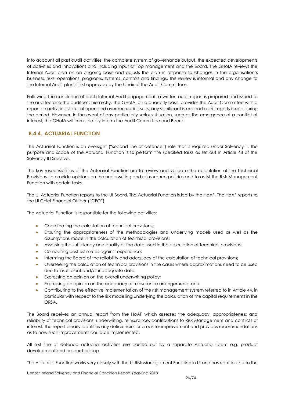into account all past audit activities, the complete system of governance output, the expected developments of activities and innovations and including input of Top management and the Board. The GHoIA reviews the Internal Audit plan on an ongoing basis and adjusts the plan in response to changes in the organisation's business, risks, operations, programs, systems, controls and findings. This review is informal and any change to the Internal Audit plan is first approved by the Chair of the Audit Committees.

Following the conclusion of each Internal Audit engagement, a written audit report is prepared and issued to the auditee and the auditee's hierarchy. The GHoIA, on a quarterly basis, provides the Audit Committee with a report on activities, status of open and overdue audit issues, any significant issues and audit reports issued during the period. However, in the event of any particularly serious situation, such as the emergence of a conflict of interest, the GHoIA will immediately inform the Audit Committee and Board.

## **B.4.4. ACTUARIAL FUNCTION**

The Actuarial Function is an oversight ("second line of defence") role that is required under Solvency II. The purpose and scope of the Actuarial Function is to perform the specified tasks as set out in Article 48 of the Solvency II Directive.

The key responsibilities of the Actuarial Function are to review and validate the calculation of the Technical Provisions, to provide opinions on the underwriting and reinsurance policies and to assist the Risk Management Function with certain tasks.

The UI Actuarial Function reports to the UI Board. The Actuarial Function is led by the HoAF. The HoAF reports to the UI Chief Financial Officer ("CFO").

The Actuarial Function is responsible for the following activities:

- Coordinating the calculation of technical provisions;
- Ensuring the appropriateness of the methodologies and underlying models used as well as the assumptions made in the calculation of technical provisions;
- Assessing the sufficiency and quality of the data used in the calculation of technical provisions;
- Comparing best estimates against experience;
- Informing the Board of the reliability and adequacy of the calculation of technical provisions;
- Overseeing the calculation of technical provisions in the cases where approximations need to be used due to insufficient and/or inadequate data;
- Expressing an opinion on the overall underwriting policy;
- Expressing an opinion on the adequacy of reinsurance arrangements; and
- Contributing to the effective implementation of the risk management system referred to in Article 44, in particular with respect to the risk modelling underlying the calculation of the capital requirements in the ORSA.

The Board receives an annual report from the HoAF which assesses the adequacy, appropriateness and reliability of technical provisions, underwriting, reinsurance, contributions to Risk Management and conflicts of interest. The report clearly identifies any deficiencies or areas for improvement and provides recommendations as to how such improvements could be implemented.

All first line of defence actuarial activities are carried out by a separate Actuarial Team e.g. product development and product pricing.

The Actuarial Function works very closely with the UI Risk Management Function in UI and has contributed to the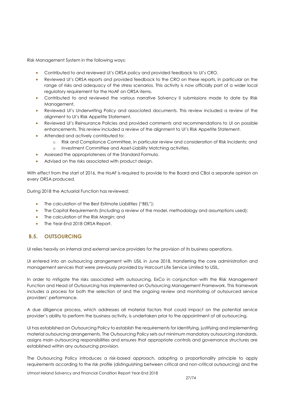Risk Management System in the following ways:

- Contributed to and reviewed UI's ORSA policy and provided feedback to UI's CRO.
- Reviewed UI's ORSA reports and provided feedback to the CRO on these reports, in particular on the range of risks and adequacy of the stress scenarios. This activity is now officially part of a wider local regulatory requirement for the HoAF on ORSA items.
- Contributed to and reviewed the various narrative Solvency II submissions made to date by Risk Management.
- Reviewed UI's Underwriting Policy and associated documents. This review included a review of the alignment to UI's Risk Appetite Statement.
- Reviewed UI's Reinsurance Policies and provided comments and recommendations to UI on possible enhancements. This review included a review of the alignment to UI's Risk Appetite Statement.
- Attended and actively contributed to:
	- o Risk and Compliance Committee, in particular review and consideration of Risk Incidents; and
	- o Investment Committee and Asset-Liability Matching activities.
- Assessed the appropriateness of the Standard Formula.
- Advised on the risks associated with product design.

With effect from the start of 2016, the HoAF is required to provide to the Board and CBoI a separate opinion on every ORSA produced.

During 2018 the Actuarial Function has reviewed:

- The calculation of the Best Estimate Liabilities ("BEL");
- The Capital Requirements (including a review of the model, methodology and assumptions used);
- The calculation of the Risk Margin; and
- The Year-End 2018 ORSA Report.

## <span id="page-26-0"></span>**B.5. OUTSOURCING**

UI relies heavily on internal and external service providers for the provision of its business operations.

UI entered into an outsourcing arrangement with USIL in June 2018, transferring the core administration and management services that were previously provided by Harcourt Life Service Limited to USIL.

In order to mitigate the risks associated with outsourcing, ExCo in conjunction with the Risk Management Function and Head of Outsourcing has implemented an Outsourcing Management Framework. This framework includes a process for both the selection of and the ongoing review and monitoring of outsourced service providers' performance.

A due diligence process, which addresses all material factors that could impact on the potential service provider's ability to perform the business activity, is undertaken prior to the appointment of all outsourcing.

UI has established an Outsourcing Policy to establish the requirements for identifying, justifying and implementing material outsourcing arrangements. The Outsourcing Policy sets out minimum mandatory outsourcing standards, assigns main outsourcing responsibilities and ensures that appropriate controls and governance structures are established within any outsourcing provision.

The Outsourcing Policy introduces a risk-based approach, adopting a proportionality principle to apply requirements according to the risk profile (distinguishing between critical and non-critical outsourcing) and the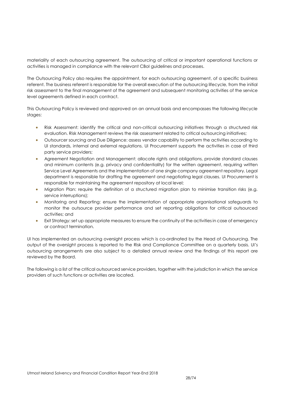materiality of each outsourcing agreement. The outsourcing of critical or important operational functions or activities is managed in compliance with the relevant CBoI guidelines and processes.

The Outsourcing Policy also requires the appointment, for each outsourcing agreement, of a specific business referent. The business referent is responsible for the overall execution of the outsourcing lifecycle, from the initial risk assessment to the final management of the agreement and subsequent monitoring activities of the service level agreements defined in each contract.

This Outsourcing Policy is reviewed and approved on an annual basis and encompasses the following lifecycle stages:

- Risk Assessment: identify the critical and non-critical outsourcing initiatives through a structured risk evaluation. Risk Management reviews the risk assessment related to critical outsourcing initiatives;
- Outsourcer sourcing and Due Diligence: assess vendor capability to perform the activities according to UI standards, internal and external regulations. UI Procurement supports the activities in case of third party service providers;
- Agreement Negotiation and Management: allocate rights and obligations, provide standard clauses and minimum contents (e.g. privacy and confidentiality) for the written agreement, requiring written Service Level Agreements and the implementation of one single company agreement repository. Legal department is responsible for drafting the agreement and negotiating legal clauses. UI Procurement is responsible for maintaining the agreement repository at local level;
- Migration Plan: require the definition of a structured migration plan to minimise transition risks (e.g. service interruptions);
- Monitoring and Reporting: ensure the implementation of appropriate organisational safeguards to monitor the outsource provider performance and set reporting obligations for critical outsourced activities; and
- Exit Strategy: set up appropriate measures to ensure the continuity of the activities in case of emergency or contract termination.

UI has implemented an outsourcing oversight process which is co-ordinated by the Head of Outsourcing. The output of the oversight process is reported to the Risk and Compliance Committee on a quarterly basis. UI's outsourcing arrangements are also subject to a detailed annual review and the findings of this report are reviewed by the Board.

The following is a list of the critical outsourced service providers, together with the jurisdiction in which the service providers of such functions or activities are located.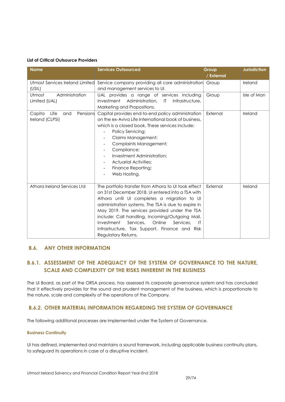#### **List of Critical Outsource Providers**

| <b>Name</b>                                          | <b>Services Outsourced</b>                                                                                                                                                                                                                                                                                                                                                                                                                          | Group<br>/ External | <b>Jurisdiction</b> |
|------------------------------------------------------|-----------------------------------------------------------------------------------------------------------------------------------------------------------------------------------------------------------------------------------------------------------------------------------------------------------------------------------------------------------------------------------------------------------------------------------------------------|---------------------|---------------------|
| Utmost Services Ireland Limited                      | Service company providing all core administration                                                                                                                                                                                                                                                                                                                                                                                                   | Group               | Ireland             |
| (USIL)                                               | and management services to UI.                                                                                                                                                                                                                                                                                                                                                                                                                      |                     |                     |
| Administration<br>Utmost<br>Limited (UAL)            | UAL provides a range of services including                                                                                                                                                                                                                                                                                                                                                                                                          | Group               | Isle of Man         |
|                                                      | Administration.<br>$\mathsf{I}$<br>Infrastructure,<br>Investment<br>Marketing and Propositions.                                                                                                                                                                                                                                                                                                                                                     |                     |                     |
| Capita<br>Life<br>Pensions<br>and<br>Ireland (CLPSI) | Capital provides end-to-end policy administration<br>on the ex-Aviva Life International book of business.<br>which is a closed book. These services include:<br>Policy Servicing;<br><b>Claims Management;</b><br><b>Complaints Management;</b><br>Compliance;<br>Investment Administration;<br><b>Actuarial Activities;</b><br>Finance Reporting;<br>Web Hosting.                                                                                  | External            | Ireland             |
| Athora Ireland Services Ltd                          | The portfolio transfer from Athora to UI took effect<br>on 31st December 2018. Ul entered into a TSA with<br>Athora until UI completes a migration to UI<br>administration systems. The TSA is due to expire in<br>May 2019. The services provided under the TSA<br>include: Call handling, Incoming/Outgoing Mail,<br>Investment<br>Services,<br>Online<br>Services,<br>IT<br>Infrastructure, Tax Support, Finance and Risk<br>Regulatory Returns. | External            | Ireland             |

## <span id="page-28-0"></span>**B.6. ANY OTHER INFORMATION**

## **B.6.1. ASSESSMENT OF THE ADEQUACY OF THE SYSTEM OF GOVERNANCE TO THE NATURE, SCALE AND COMPLEXITY OF THE RISKS INHERENT IN THE BUSINESS**

The UI Board, as part of the ORSA process, has assessed its corporate governance system and has concluded that it effectively provides for the sound and prudent management of the business, which is proportionate to the nature, scale and complexity of the operations of the Company.

## **B.6.2. OTHER MATERIAL INFORMATION REGARDING THE SYSTEM OF GOVERNANCE**

The following additional processes are implemented under the System of Governance.

#### **Business Continuity**

UI has defined, implemented and maintains a sound framework, including applicable business continuity plans, to safeguard its operations in case of a disruptive incident.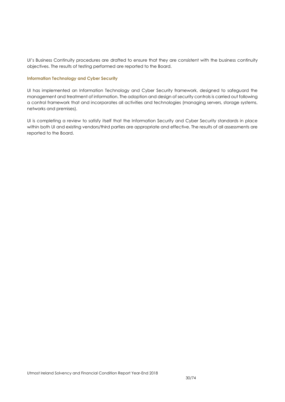UI's Business Continuity procedures are drafted to ensure that they are consistent with the business continuity objectives. The results of testing performed are reported to the Board.

#### **Information Technology and Cyber Security**

UI has implemented an Information Technology and Cyber Security framework, designed to safeguard the management and treatment of information. The adoption and design of security controls is carried out following a control framework that and incorporates all activities and technologies (managing servers, storage systems, networks and premises).

UI is completing a review to satisfy itself that the Information Security and Cyber Security standards in place within both UI and existing vendors/third parties are appropriate and effective. The results of all assessments are reported to the Board.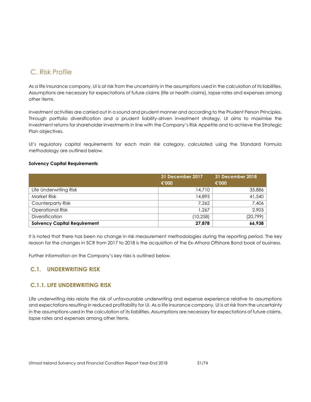## C. Risk Profile

<span id="page-30-0"></span>As a life insurance company, UI is at risk from the uncertainty in the assumptions used in the calculation of its liabilities. Assumptions are necessary for expectations of future claims (life or health claims), lapse rates and expenses among other items.

Investment activities are carried out in a sound and prudent manner and according to the Prudent Person Principles. Through portfolio diversification and a prudent liability-driven investment strategy, UI aims to maximise the investment returns for shareholder investments in line with the Company's Risk Appetite and to achieve the Strategic Plan objectives.

UI's regulatory capital requirements for each main risk category, calculated using the Standard Formula methodology are outlined below.

#### **Solvency Capital Requirements**

|                                     | 31 December 2017 | <b>31 December 2018</b> |
|-------------------------------------|------------------|-------------------------|
|                                     | €'000            | €'000                   |
| Life Underwriting Risk              | 14,710           | 35,886                  |
| <b>Market Risk</b>                  | 14,895           | 41,540                  |
| Counterparty Risk                   | 7.262            | 7,406                   |
| <b>Operational Risk</b>             | 1.267            | 2,905                   |
| <b>Diversification</b>              | (10,258)         | (20,799)                |
| <b>Solvency Capital Requirement</b> | 27,878           | 66,938                  |

It is noted that there has been no change in risk measurement methodologies during the reporting period. The key reason for the changes in SCR from 2017 to 2018 is the acquisition of the Ex-Athora Offshore Bond book of business.

Further information on the Company's key risks is outlined below.

## **C.1. UNDERWRITING RISK**

## **C.1.1. LIFE UNDERWRITING RISK**

<span id="page-30-1"></span>Life underwriting risks relate the risk of unfavourable underwriting and expense experience relative to assumptions and expectations resulting in reduced profitability for UI. As a life insurance company, UI is at risk from the uncertainty in the assumptions used in the calculation of its liabilities. Assumptions are necessary for expectations of future claims, lapse rates and expenses among other items.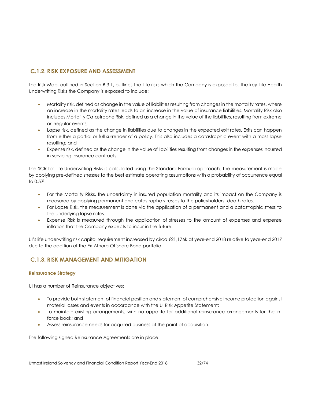## **C.1.2. RISK EXPOSURE AND ASSESSMENT**

The Risk Map, outlined in Section B.3.1, outlines the Life risks which the Company is exposed to. The key Life Health Underwriting Risks the Company is exposed to include:

- Mortality risk, defined as change in the value of liabilities resulting from changes in the mortality rates, where an increase in the mortality rates leads to an increase in the value of insurance liabilities. Mortality Risk also includes Mortality Catastrophe Risk, defined as a change in the value of the liabilities, resulting from extreme or irregular events;
- Lapse risk, defined as the change in liabilities due to changes in the expected exit rates. Exits can happen from either a partial or full surrender of a policy. This also includes a catastrophic event with a mass lapse resulting; and
- Expense risk, defined as the change in the value of liabilities resulting from changes in the expenses incurred in servicing insurance contracts.

The SCR for Life Underwriting Risks is calculated using the Standard Formula approach. The measurement is made by applying pre-defined stresses to the best estimate operating assumptions with a probability of occurrence equal to 0.5%.

- For the Mortality Risks, the uncertainty in insured population mortality and its impact on the Company is measured by applying permanent and catastrophe stresses to the policyholders' death rates.
- For Lapse Risk, the measurement is done via the application of a permanent and a catastrophic stress to the underlying lapse rates.
- Expense Risk is measured through the application of stresses to the amount of expenses and expense inflation that the Company expects to incur in the future.

UI's life underwriting risk capital requirement increased by circa €21,176k at year-end 2018 relative to year-end 2017 due to the addition of the Ex-Athora Offshore Bond portfolio.

## **C.1.3. RISK MANAGEMENT AND MITIGATION**

#### **Reinsurance Strategy**

UI has a number of Reinsurance objectives:

- To provide both statement of financial position and statement of comprehensive income protection against material losses and events in accordance with the UI Risk Appetite Statement;
- To maintain existing arrangements, with no appetite for additional reinsurance arrangements for the inforce book; and
- Assess reinsurance needs for acquired business at the point of acquisition.

The following signed Reinsurance Agreements are in place: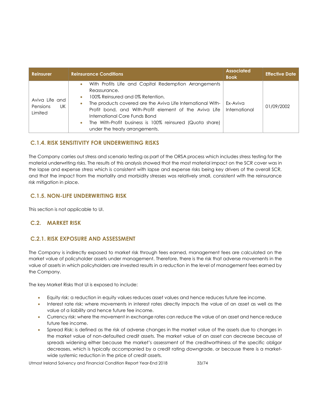| <b>Reinsurer</b>                                   | <b>Reinsurance Conditions</b>                                                                                                                                                                                                                                                                                                                                                                                         | <b>Associated</b><br><b>Book</b> | <b>Effective Date</b> |
|----------------------------------------------------|-----------------------------------------------------------------------------------------------------------------------------------------------------------------------------------------------------------------------------------------------------------------------------------------------------------------------------------------------------------------------------------------------------------------------|----------------------------------|-----------------------|
| Aviva Life and<br>UK<br><b>Pensions</b><br>Limited | With Profits Life and Capital Redemption Arrangements<br>$\bullet$<br>Reassurance.<br>100% Reinsured and 0% Retention.<br>$\bullet$<br>The products covered are the Aviva Life International With-<br>$\bullet$<br>Profit bond, and With-Profit element of the Aviva Life<br>International Core Funds Bond<br>The With-Profit business is 100% reinsured (Quota share)<br>$\bullet$<br>under the treaty arrangements. | Ex-Aviva<br>International        | 01/09/2002            |

## **C.1.4. RISK SENSITIVITY FOR UNDERWRITING RISKS**

The Company carries out stress and scenario testing as part of the ORSA process which includes stress testing for the material underwriting risks. The results of this analysis showed that the most material impact on the SCR cover was in the lapse and expense stress which is consistent with lapse and expense risks being key drivers of the overall SCR, and that the impact from the mortality and morbidity stresses was relatively small, consistent with the reinsurance risk mitigation in place.

## **C.1.5. NON-LIFE UNDERWRITING RISK**

This section is not applicable to UI.

#### **C.2. MARKET RISK**

#### **C.2.1. RISK EXPOSURE AND ASSESSMENT**

<span id="page-32-0"></span>The Company is indirectly exposed to market risk through fees earned, management fees are calculated on the market value of policyholder assets under management. Therefore, there is the risk that adverse movements in the value of assets in which policyholders are invested results in a reduction in the level of management fees earned by the Company.

The key Market Risks that UI is exposed to include:

- Equity risk: a reduction in equity values reduces asset values and hence reduces future fee income.
- Interest rate risk: where movements in interest rates directly impacts the value of an asset as well as the value of a liability and hence future fee income.
- Currency risk: where the movement in exchange rates can reduce the value of an asset and hence reduce future fee income.
- Spread Risk: is defined as the risk of adverse changes in the market value of the assets due to changes in the market value of non-defaulted credit assets. The market value of an asset can decrease because of spreads widening either because the market's assessment of the creditworthiness of the specific obligor decreases, which is typically accompanied by a credit rating downgrade, or because there is a marketwide systemic reduction in the price of credit assets.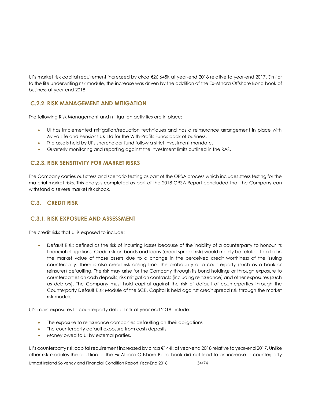UI's market risk capital requirement increased by circa €26,645k at year-end 2018 relative to year-end 2017. Similar to the life underwriting risk module, the increase was driven by the addition of the Ex-Athora Offshore Bond book of business at year end 2018.

## **C.2.2. RISK MANAGEMENT AND MITIGATION**

The following Risk Management and mitigation activities are in place:

- UI has implemented mitigation/reduction techniques and has a reinsurance arrangement in place with Aviva Life and Pensions UK Ltd for the With-Profits Funds book of business.
- The assets held by UI's shareholder fund follow a strict investment mandate.
- Quarterly monitoring and reporting against the investment limits outlined in the RAS.

## **C.2.3. RISK SENSITIVITY FOR MARKET RISKS**

The Company carries out stress and scenario testing as part of the ORSA process which includes stress testing for the material market risks. This analysis completed as part of the 2018 ORSA Report concluded that the Company can withstand a severe market risk shock.

## **C.3. CREDIT RISK**

## **C.3.1. RISK EXPOSURE AND ASSESSMENT**

<span id="page-33-0"></span>The credit risks that UI is exposed to include:

 Default Risk: defined as the risk of incurring losses because of the inability of a counterparty to honour its financial obligations. Credit risk on bonds and loans (credit spread risk) would mainly be related to a fall in the market value of those assets due to a change in the perceived credit worthiness of the issuing counterparty. There is also credit risk arising from the probability of a counterparty (such as a bank or reinsurer) defaulting. The risk may arise for the Company through its bond holdings or through exposure to counterparties on cash deposits, risk mitigation contracts (including reinsurance) and other exposures (such as debtors). The Company must hold capital against the risk of default of counterparties through the Counterparty Default Risk Module of the SCR. Capital is held against credit spread risk through the market risk module.

UI's main exposures to counterparty default risk at year end 2018 include:

- The exposure to reinsurance companies defaulting on their obligations
- The counterparty default exposure from cash deposits
- Money owed to UI by external parties.

UI's counterparty risk capital requirement increased by circa €144k at year-end 2018 relative to year-end 2017. Unlike other risk modules the addition of the Ex-Athora Offshore Bond book did not lead to an increase in counterparty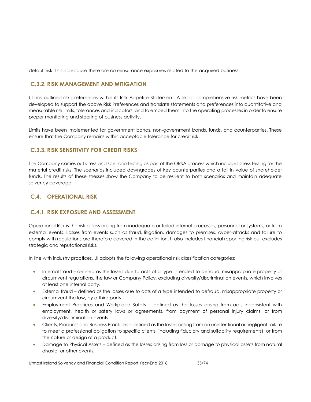default risk. This is because there are no reinsurance exposures related to the acquired business.

## **C.3.2. RISK MANAGEMENT AND MITIGATION**

UI has outlined risk preferences within its Risk Appetite Statement. A set of comprehensive risk metrics have been developed to support the above Risk Preferences and translate statements and preferences into quantitative and measurable risk limits, tolerances and indicators, and to embed them into the operating processes in order to ensure proper monitoring and steering of business activity.

Limits have been implemented for government bonds, non-government bonds, funds, and counterparties. These ensure that the Company remains within acceptable tolerance for credit risk.

## **C.3.3. RISK SENSITIVITY FOR CREDIT RISKS**

The Company carries out stress and scenario testing as part of the ORSA process which includes stress testing for the material credit risks. The scenarios included downgrades of key counterparties and a fall in value of shareholder funds. The results of these stresses show the Company to be resilient to both scenarios and maintain adequate solvency coverage.

## **C.4. OPERATIONAL RISK**

## **C.4.1. RISK EXPOSURE AND ASSESSMENT**

<span id="page-34-0"></span>Operational Risk is the risk of loss arising from inadequate or failed internal processes, personnel or systems, or from external events. Losses from events such as fraud, litigation, damages to premises, cyber-attacks and failure to comply with regulations are therefore covered in the definition. It also includes financial reporting risk but excludes strategic and reputational risks.

In line with industry practices, UI adopts the following operational risk classification categories:

- Internal fraud defined as the losses due to acts of a type intended to defraud, misappropriate property or circumvent regulations, the law or Company Policy, excluding diversity/discrimination events, which involves at least one internal party.
- External fraud defined as the losses due to acts of a type intended to defraud, misappropriate property or circumvent the law, by a third party.
- Employment Practices and Workplace Safety defined as the losses arising from acts inconsistent with employment, health or safety laws or agreements, from payment of personal injury claims, or from diversity/discrimination events.
- Clients, Products and Business Practices defined as the losses arising from an unintentional or negligent failure to meet a professional obligation to specific clients (including fiduciary and suitability requirements), or from the nature or design of a product.
- Damage to Physical Assets defined as the losses arising from loss or damage to physical assets from natural disaster or other events.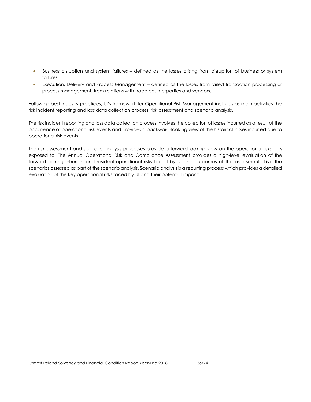- Business disruption and system failures defined as the losses arising from disruption of business or system failures.
- Execution, Delivery and Process Management defined as the losses from failed transaction processing or process management, from relations with trade counterparties and vendors.

Following best industry practices, UI's framework for Operational Risk Management includes as main activities the risk incident reporting and loss data collection process, risk assessment and scenario analysis.

The risk incident reporting and loss data collection process involves the collection of losses incurred as a result of the occurrence of operational risk events and provides a backward-looking view of the historical losses incurred due to operational risk events.

The risk assessment and scenario analysis processes provide a forward-looking view on the operational risks UI is exposed to. The Annual Operational Risk and Compliance Assessment provides a high-level evaluation of the forward-looking inherent and residual operational risks faced by UI. The outcomes of the assessment drive the scenarios assessed as part of the scenario analysis. Scenario analysis is a recurring process which provides a detailed evaluation of the key operational risks faced by UI and their potential impact.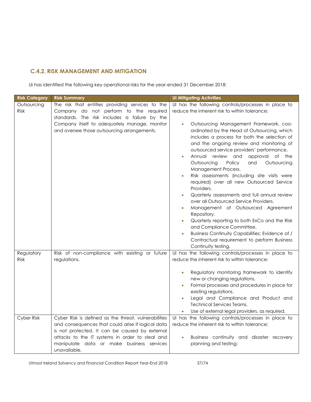# **C.4.2. RISK MANAGEMENT AND MITIGATION**

UI has identified the following key operational risks for the year-ended 31 December 2018:

| <b>Risk Category</b>      | <b>Risk Summary</b>                                                                                                                                         | <b>UI Mitigating Activities</b>                                                                                                                                                                                                                                                                                                                                                                                                                                                                                                                                                                                                                                                                                                                                                                                                                                                    |
|---------------------------|-------------------------------------------------------------------------------------------------------------------------------------------------------------|------------------------------------------------------------------------------------------------------------------------------------------------------------------------------------------------------------------------------------------------------------------------------------------------------------------------------------------------------------------------------------------------------------------------------------------------------------------------------------------------------------------------------------------------------------------------------------------------------------------------------------------------------------------------------------------------------------------------------------------------------------------------------------------------------------------------------------------------------------------------------------|
| Outsourcing<br>Risk       | The risk that entities providing services to the<br>Company do not perform to the required<br>standards. The risk includes a failure by the                 | UI has the following controls/processes in place to<br>reduce the inherent risk to within tolerance:                                                                                                                                                                                                                                                                                                                                                                                                                                                                                                                                                                                                                                                                                                                                                                               |
|                           | Company itself to adequately manage, monitor<br>and oversee those outsourcing arrangements.                                                                 | Outsourcing Management Framework, coo-<br>$\bullet$<br>ordinated by the Head of Outsourcing, which<br>includes a process for both the selection of<br>and the ongoing review and monitoring of<br>outsourced service providers' performance.<br>Annual review<br>and<br>approval of the<br>Outsourcing<br>Policy<br>and<br>Outsourcing<br>Management Process.<br>Risk assessments (including site visits were<br>required) over all new Outsourced Service<br>Providers.<br>Quarterly assessments and full annual review<br>$\bullet$<br>over all Outsourced Service Providers.<br>Management of Outsourced Agreement<br>$\bullet$<br>Repository.<br>Quarterly reporting to both ExCo and the Risk<br>$\bullet$<br>and Compliance Committee.<br>Business Continuity Capabilities: Evidence of /<br>$\bullet$<br>Contractual requirement to perform Business<br>Continuity testing. |
| Regulatory<br><b>Risk</b> | Risk of non-compliance with existing or future<br>regulations.                                                                                              | UI has the following controls/processes in place to<br>reduce the inherent risk to within tolerance:                                                                                                                                                                                                                                                                                                                                                                                                                                                                                                                                                                                                                                                                                                                                                                               |
|                           |                                                                                                                                                             | Regulatory monitoring framework to identify<br>new or changing regulations.<br>Formal processes and procedures in place for<br>existing regulations.<br>Legal and Compliance and Product and<br><b>Technical Services Teams.</b><br>Use of external legal providers, as required.                                                                                                                                                                                                                                                                                                                                                                                                                                                                                                                                                                                                  |
| Cyber Risk                | Cyber Risk is defined as the threat, vulnerabilities<br>and consequences that could arise if logical data<br>is not protected. It can be caused by external | UI has the following controls/processes in place to<br>reduce the inherent risk to within tolerance:                                                                                                                                                                                                                                                                                                                                                                                                                                                                                                                                                                                                                                                                                                                                                                               |
|                           | attacks to the IT systems in order to steal and<br>manipulate data or make business services<br>unavailable.                                                | Business continuity and disaster recovery<br>$\bullet$<br>planning and testing;                                                                                                                                                                                                                                                                                                                                                                                                                                                                                                                                                                                                                                                                                                                                                                                                    |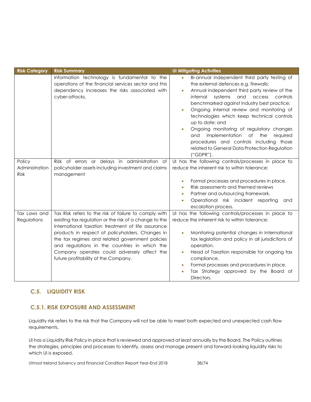| <b>Risk Category</b>             | <b>Risk Summary</b>                                                                                                                                                                                                                                                                                                                                                                                                  | <b>UI Mitigating Activities</b>                                                                                                                                                                                                                                                                                                                                                                                                                                                                                                                                                                                |
|----------------------------------|----------------------------------------------------------------------------------------------------------------------------------------------------------------------------------------------------------------------------------------------------------------------------------------------------------------------------------------------------------------------------------------------------------------------|----------------------------------------------------------------------------------------------------------------------------------------------------------------------------------------------------------------------------------------------------------------------------------------------------------------------------------------------------------------------------------------------------------------------------------------------------------------------------------------------------------------------------------------------------------------------------------------------------------------|
|                                  | Information technology is fundamental to the<br>operations of the financial services sector and this<br>dependency increases the risks associated with<br>cyber-attacks.                                                                                                                                                                                                                                             | Bi-annual independent third party testing of<br>$\bullet$<br>the external defences e.g. firewalls;<br>Annual independent third party review of the<br>$\bullet$<br>systems<br>internal<br>and access<br>controls<br>benchmarked against industry best practice;<br>Ongoing internal review and monitoring of<br>$\bullet$<br>technologies which keep technical controls<br>up to date; and<br>Ongoing monitoring of regulatory changes<br>$\bullet$<br>implementation<br>of<br>the<br>required<br>and<br>procedures and controls including those<br>related to General Data Protection Regulation<br>("GDPR"). |
| Policy<br>Administration<br>Risk | Risk of errors or delays in administration of<br>policyholder assets including investment and claims<br>management                                                                                                                                                                                                                                                                                                   | Ul has the following controls/processes in place to<br>reduce the inherent risk to within tolerance:<br>Formal processes and procedures in place.<br>$\bullet$<br>Risk assessments and themed reviews<br>$\bullet$<br>Partner and outsourcing framework.<br>$\bullet$<br>Operational risk incident reporting<br>and<br>$\bullet$<br>escalation process.                                                                                                                                                                                                                                                        |
| Tax Laws and<br>Regulations      | Tax Risk refers to the risk of failure to comply with<br>existing tax regulation or the risk of a change to the<br>International taxation treatment of life assurance<br>products in respect of policyholders. Changes in<br>the tax regimes and related government policies<br>and regulations in the countries in which the<br>Company operates could adversely affect the<br>future profitability of the Company. | Ul has the following controls/processes in place to<br>reduce the inherent risk to within tolerance:<br>Monitoring potential changes in International<br>$\bullet$<br>tax legislation and policy in all jurisdictions of<br>operation.<br>Head of Taxation responsible for ongoing tax<br>$\bullet$<br>compliance.<br>Formal processes and procedures in place.<br>$\bullet$<br>Tax Strategy approved by the Board of<br>$\bullet$<br>Directors.                                                                                                                                                               |

# **C.5. LIQUIDITY RISK**

# **C.5.1. RISK EXPOSURE AND ASSESSMENT**

Liquidity risk refers to the risk that the Company will not be able to meet both expected and unexpected cash flow requirements.

UI has a Liquidity Risk Policy in place that is reviewed and approved at least annually by the Board. The Policy outlines the strategies, principles and processes to identify, assess and manage present and forward-looking liquidity risks to which UI is exposed.

Utmost Ireland Solvency and Financial Condition Report Year-End 2018 38/74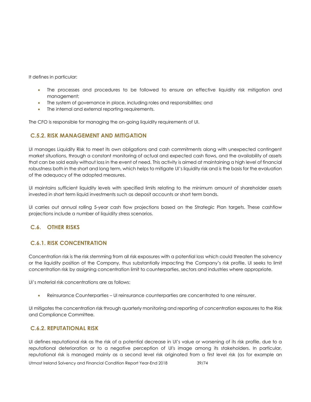It defines in particular:

- The processes and procedures to be followed to ensure an effective liquidity risk mitigation and management;
- The system of governance in place, including roles and responsibilities; and
- The internal and external reporting requirements.

The CFO is responsible for managing the on-going liquidity requirements of UI.

### **C.5.2. RISK MANAGEMENT AND MITIGATION**

UI manages Liquidity Risk to meet its own obligations and cash commitments along with unexpected contingent market situations, through a constant monitoring of actual and expected cash flows, and the availability of assets that can be sold easily without loss in the event of need. This activity is aimed at maintaining a high level of financial robustness both in the short and long term, which helps to mitigate UI's liquidity risk and is the basis for the evaluation of the adequacy of the adopted measures.

UI maintains sufficient liquidity levels with specified limits relating to the minimum amount of shareholder assets invested in short term liquid investments such as deposit accounts or short term bonds.

UI carries out annual rolling 5-year cash flow projections based on the Strategic Plan targets. These cashflow projections include a number of liquidity stress scenarios.

### **C.6. OTHER RISKS**

### **C.6.1. RISK CONCENTRATION**

Concentration risk is the risk stemming from all risk exposures with a potential loss which could threaten the solvency or the liquidity position of the Company, thus substantially impacting the Company's risk profile. UI seeks to limit concentration risk by assigning concentration limit to counterparties, sectors and industries where appropriate.

UI's material risk concentrations are as follows:

Reinsurance Counterparties – UI reinsurance counterparties are concentrated to one reinsurer.

UI mitigates the concentration risk through quarterly monitoring and reporting of concentration exposures to the Risk and Compliance Committee.

### **C.6.2. REPUTATIONAL RISK**

UI defines reputational risk as the risk of a potential decrease in UI's value or worsening of its risk profile, due to a reputational deterioration or to a negative perception of UI's image among its stakeholders. In particular, reputational risk is managed mainly as a second level risk originated from a first level risk (as for example an

Utmost Ireland Solvency and Financial Condition Report Year-End 2018 39/74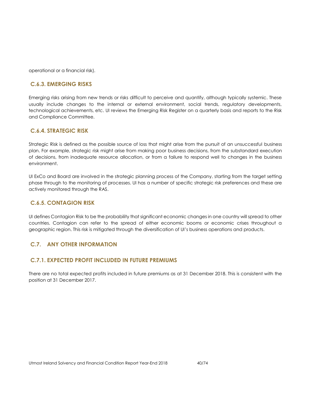operational or a financial risk).

### **C.6.3. EMERGING RISKS**

Emerging risks arising from new trends or risks difficult to perceive and quantify, although typically systemic. These usually include changes to the internal or external environment, social trends, regulatory developments, technological achievements, etc. UI reviews the Emerging Risk Register on a quarterly basis and reports to the Risk and Compliance Committee.

### **C.6.4. STRATEGIC RISK**

Strategic Risk is defined as the possible source of loss that might arise from the pursuit of an unsuccessful [business](http://www.businessdictionary.com/definition/business-plan.html)  [plan.](http://www.businessdictionary.com/definition/business-plan.html) For example, strategic risk might arise from making poor [business](http://www.businessdictionary.com/definition/business.html) decisions, from the substandard [execution](http://www.businessdictionary.com/definition/execution.html) of decisions, from inadequate [resource](http://www.businessdictionary.com/definition/resource.html) [allocation,](http://www.businessdictionary.com/definition/allocation.html) or from a [failure](http://www.businessdictionary.com/definition/failure.html) to respond well to [changes](http://www.businessdictionary.com/definition/changes.html) in the [business](http://www.businessdictionary.com/definition/business-environment.html)  [environment.](http://www.businessdictionary.com/definition/business-environment.html)

UI ExCo and Board are involved in the strategic planning process of the Company, starting from the target setting phase through to the monitoring of processes. UI has a number of specific strategic risk preferences and these are actively monitored through the RAS.

### **C.6.5. CONTAGION RISK**

UI defines Contagion Risk to be the probability that significant economic changes in one country will spread to other countries. Contagion can refer to the spread of either economic booms or economic crises throughout a geographic region. This risk is mitigated through the diversification of UI's business operations and products.

### **C.7. ANY OTHER INFORMATION**

### **C.7.1. EXPECTED PROFIT INCLUDED IN FUTURE PREMIUMS**

There are no total expected profits included in future premiums as at 31 December 2018. This is consistent with the position at 31 December 2017.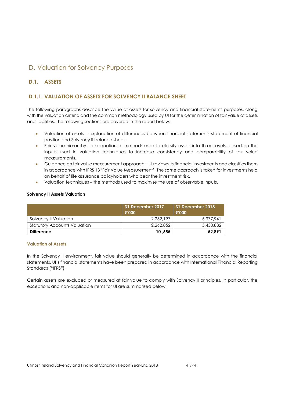# D. Valuation for Solvency Purposes

# **D.1. ASSETS**

# **D.1.1. VALUATION OF ASSETS FOR SOLVENCY II BALANCE SHEET**

The following paragraphs describe the value of assets for solvency and financial statements purposes, along with the valuation criteria and the common methodology used by UI for the determination of fair value of assets and liabilities. The following sections are covered in the report below:

- Valuation of assets explanation of differences between financial statements statement of financial position and Solvency II balance sheet.
- Fair value hierarchy explanation of methods used to classify assets into three levels, based on the inputs used in valuation techniques to increase consistency and comparability of fair value measurements.
- Guidance on fair value measurement approach UI reviews its financial investments and classifies them in accordance with IFRS 13 'Fair Value Measurement'. The same approach is taken for investments held on behalf of life assurance policyholders who bear the investment risk.
- Valuation techniques the methods used to maximise the use of observable inputs.

#### **Solvency II Assets Valuation**

|                                     | 31 December 2017<br>€'000 | 31 December 2018<br>€'000 |
|-------------------------------------|---------------------------|---------------------------|
| Solvency II Valuation               | 2.252.197                 | 5,377,941                 |
| <b>Statutory Accounts Valuation</b> | 2.262.852                 | 5,430,832                 |
| <b>Difference</b>                   | 10,655                    | 52,891                    |

#### **Valuation of Assets**

In the Solvency II environment, fair value should generally be determined in accordance with the financial statements. UI's financial statements have been prepared in accordance with International Financial Reporting Standards ("IFRS").

Certain assets are excluded or measured at fair value to comply with Solvency II principles. In particular, the exceptions and non-applicable items for UI are summarised below.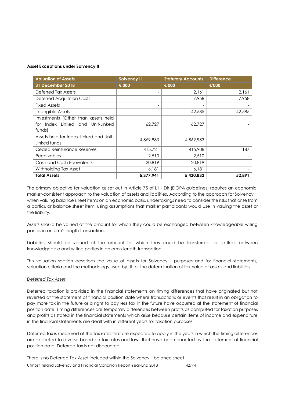#### **Asset Exceptions under Solvency II**

| <b>Valuation of Assets</b>             | <b>Solvency II</b>       | <b>Statutory Accounts</b> | <b>Difference</b> |
|----------------------------------------|--------------------------|---------------------------|-------------------|
| <b>31 December 2018</b>                | €'000                    | €'000                     | €'000             |
| Deferred Tax Assets                    |                          | 2,161                     | 2,161             |
| <b>Deferred Acquisition Costs</b>      |                          | 7,958                     | 7,958             |
| <b>Fixed Assets</b>                    | $\overline{\phantom{a}}$ |                           |                   |
| Intangible Assets                      |                          | 42,585                    | 42,585            |
| Investments (Other than assets held    |                          |                           |                   |
| for Index Linked and Unit-Linked       | 62,727                   | 62,727                    |                   |
| funds)                                 |                          |                           |                   |
| Assets held for Index Linked and Unit- | 4,869,983                | 4,869,983                 |                   |
| Linked funds                           |                          |                           |                   |
| Ceded Reinsurance Reserves             | 415,721                  | 415,908                   | 187               |
| <b>Receivables</b>                     | 2,510                    | 2,510                     |                   |
| Cash and Cash Equivalents              | 20,819                   | 20,819                    |                   |
| Withholding Tax Asset                  | 6,181                    | 6,181                     |                   |
| <b>Total Assets</b>                    | 5,377,941                | 5,430,832                 | 52,891            |

The primary objective for valuation as set out in Article 75 of L1 - Dir (EIOPA guidelines) requires an economic, market-consistent approach to the valuation of assets and liabilities. According to the approach for Solvency II, when valuing balance sheet items on an economic basis, undertakings need to consider the risks that arise from a particular balance sheet item, using assumptions that market participants would use in valuing the asset or the liability.

Assets should be valued at the amount for which they could be exchanged between knowledgeable willing parties in an arm's length transaction.

Liabilities should be valued at the amount for which they could be transferred, or settled, between knowledgeable and willing parties in an arm's length transaction.

This valuation section describes the value of assets for Solvency II purposes and for financial statements, valuation criteria and the methodology used by UI for the determination of fair value of assets and liabilities.

#### *Deferred Tax Asset*

Deferred taxation is provided in the financial statements on timing differences that have originated but not reversed at the statement of financial position date where transactions or events that result in an obligation to pay more tax in the future or a right to pay less tax in the future have occurred at the statement of financial position date. Timing differences are temporary differences between profits as computed for taxation purposes and profits as stated in the financial statements which arise because certain items of income and expenditure in the financial statements are dealt with in different years for taxation purposes.

Deferred tax is measured at the tax rates that are expected to apply in the years in which the timing differences are expected to reverse based on tax rates and laws that have been enacted by the statement of financial position date. Deferred tax is not discounted.

There is no Deferred Tax Asset included within the Solvency II balance sheet.

Utmost Ireland Solvency and Financial Condition Report Year-End 2018 42/74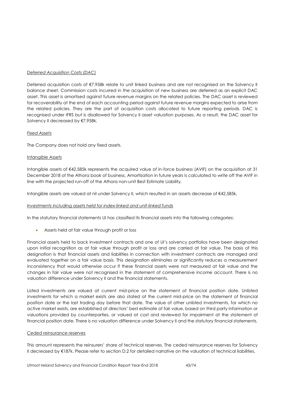### *Deferred Acquisition Costs (DAC)*

Deferred acquisition costs of €7,958k relate to unit linked business and are not recognised on the Solvency II balance sheet. Commission costs incurred in the acquisition of new business are deferred as an explicit DAC asset. This asset is amortised against future revenue margins on the related policies. The DAC asset is reviewed for recoverability at the end of each accounting period against future revenue margins expected to arise from the related policies. They are the part of acquisition costs allocated to future reporting periods. DAC is recognised under IFRS but is disallowed for Solvency II asset valuation purposes. As a result, the DAC asset for Solvency II decreased by €7,958k.

#### *Fixed Assets*

The Company does not hold any fixed assets.

#### *Intangible Assets*

Intangible assets of €42,585k represents the acquired value of in-force business (AVIF) on the acquisition at 31 December 2018 of the Athora book of business. Amortisation in future years is calculated to write off the AVIF in line with the projected run-off of the Athora non-unit Best Estimate Liability.

Intangible assets are valued at nil under Solvency II, which resulted in an assets decrease of €42,585k.

#### *Investments including assets held for index-linked and unit-linked funds*

In the statutory financial statements UI has classified its financial assets into the following categories:

Assets held at fair value through profit or loss

Financial assets held to back investment contracts and one of UI's solvency portfolios have been designated upon initial recognition as at fair value through profit or loss and are carried at fair value. The basis of this designation is that financial assets and liabilities in connection with investment contracts are managed and evaluated together on a fair value basis. This designation eliminates or significantly reduces a measurement inconsistency that would otherwise occur if these financial assets were not measured at fair value and the changes in fair value were not recognised in the statement of comprehensive income account. There is no valuation difference under Solvency II and the financial statements.

Listed investments are valued at current mid-price on the statement of financial position date. Unlisted investments for which a market exists are also stated at the current mid-price on the statement of financial position date or the last trading day before that date. The value of other unlisted investments, for which no active market exists, are established at directors' best estimate of fair value, based on third party information or valuations provided by counterparties, or valued at cost and reviewed for impairment at the statement of financial position date. There is no valuation difference under Solvency II and the statutory financial statements.

#### *Ceded reinsurance reserves*

This amount represents the reinsurers' share of technical reserves. The ceded reinsurance reserves for Solvency II decreased by €187k. Please refer to section D.2 for detailed narrative on the valuation of technical liabilities.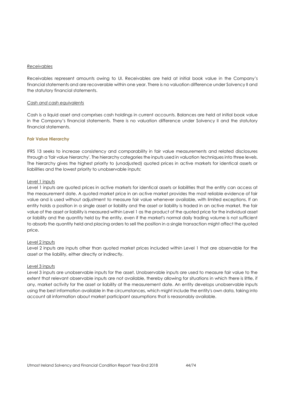#### *Receivables*

Receivables represent amounts owing to UI. Receivables are held at initial book value in the Company's financial statements and are recoverable within one year. There is no valuation difference under Solvency II and the statutory financial statements.

#### *Cash and cash equivalents*

Cash is a liquid asset and comprises cash holdings in current accounts. Balances are held at initial book value in the Company's financial statements. There is no valuation difference under Solvency II and the statutory financial statements.

#### **Fair Value Hierarchy**

IFRS 13 seeks to increase consistency and comparability in fair value measurements and related disclosures through a 'fair value hierarchy'. The hierarchy categories the inputs used in valuation [techniques](http://www.iasplus.com/en/standards/ifrs/ifrs13#measurement_techniques) into three levels. The hierarchy gives the highest priority to (unadjusted) quoted prices in active markets for identical assets or liabilities and the lowest priority to unobservable inputs:

#### Level 1 inputs

Level 1 inputs are quoted prices in active markets for identical assets or liabilities that the entity can access at the measurement date. A quoted market price in an active market provides the most reliable evidence of fair value and is used without adjustment to measure fair value whenever available, with limited exceptions. If an entity holds a position in a single asset or liability and the asset or liability is traded in an active market, the fair value of the asset or liability is measured within Level 1 as the product of the quoted price for the individual asset or liability and the quantity held by the entity, even if the market's normal daily trading volume is not sufficient to absorb the quantity held and placing orders to sell the position in a single transaction might affect the quoted price.

#### Level 2 inputs

Level 2 inputs are inputs other than quoted market prices included within Level 1 that are observable for the asset or the liability, either directly or indirectly.

#### Level 3 inputs

Level 3 inputs are unobservable inputs for the asset. Unobservable inputs are used to measure fair value to the extent that relevant observable inputs are not available, thereby allowing for situations in which there is little, if any, market activity for the asset or liability at the measurement date. An entity develops unobservable inputs using the best information available in the circumstances, which might include the entity's own data, taking into account all information about market participant assumptions that is reasonably available.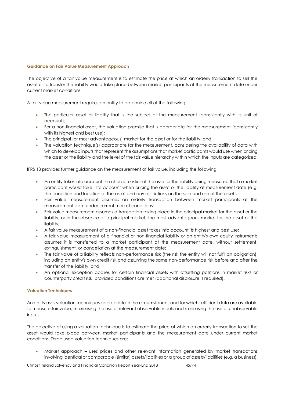#### **Guidance on Fair Value Measurement Approach**

The objective of a fair value measurement is to estimate the price at which an orderly transaction to sell the asset or to transfer the liability would take place between market participants at the measurement date under current market conditions.

A fair value measurement requires an entity to determine all of the following:

- The particular asset or liability that is the subject of the measurement (consistently with its unit of account);
- For a non-financial asset, the valuation premise that is appropriate for the measurement (consistently with its highest and best use);
- The principal (or most advantageous) market for the asset or for the liability; and
- The valuation technique(s) appropriate for the measurement, considering the availability of data with which to develop inputs that represent the assumptions that market participants would use when pricing the asset or the liability and the level of the fair value hierarchy within which the inputs are categorised.

IFRS 13 provides further guidance on the measurement of fair value, including the following:

- An entity takes into account the characteristics of the asset or the liability being measured that a market participant would take into account when pricing the asset or the liability at measurement date (e.g. the condition and location of the asset and any restrictions on the sale and use of the asset);
- Fair value measurement assumes an orderly transaction between market participants at the measurement date under current market conditions;
- Fair value measurement assumes a transaction taking place in the principal market for the asset or the liability, or in the absence of a principal market, the most advantageous market for the asset or the liability;
- A fair value measurement of a non-financial asset takes into account its highest and best use;
- A fair value measurement of a financial or non-financial liability or an entity's own equity instruments assumes it is transferred to a market participant at the measurement date, without settlement, extinguishment, or cancellation at the measurement date;
- The fair value of a liability reflects non-performance risk (the risk the entity will not fulfil an obligation), including an entity's own credit risk and assuming the same non-performance risk before and after the transfer of the liability; and
- An optional exception applies for certain financial assets with offsetting positions in market risks or counterparty credit risk, provided conditions are met (additional disclosure is required).

#### **Valuation Techniques**

An entity uses valuation techniques appropriate in the circumstances and for which sufficient data are available to measure fair value, maximising the use of relevant observable inputs and minimising the use of unobservable inputs.

The objective of using a valuation technique is to estimate the price at which an orderly transaction to sell the asset would take place between market participants and the measurement date under current market conditions. Three used valuation techniques are:

 Market approach – uses prices and other relevant information generated by market transactions involving identical or comparable (similar) assets/liabilities or a group of assets/liabilities (e.g. a business).

Utmost Ireland Solvency and Financial Condition Report Year-End 2018 45/74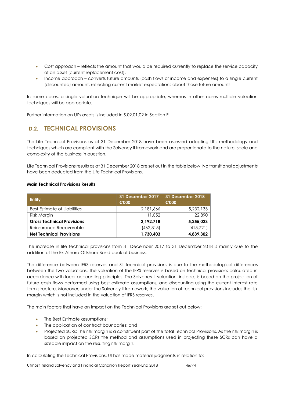- Cost approach reflects the amount that would be required currently to replace the service capacity of an asset (current replacement cost).
- Income approach converts future amounts (cash flows or income and expenses) to a single current (discounted) amount, reflecting current market expectations about those future amounts.

In some cases, a single valuation technique will be appropriate, whereas in other cases multiple valuation techniques will be appropriate.

Further information on UI's assets is included in S.02.01.02 in Section F.

# **D.2. TECHNICAL PROVISIONS**

The Life Technical Provisions as at 31 December 2018 have been assessed adopting UI's methodology and techniques which are compliant with the Solvency II framework and are proportionate to the nature, scale and complexity of the business in question.

Life Technical Provisions results as at 31 December 2018 are set out in the table below. No transitional adjustments have been deducted from the Life Technical Provisions.

#### **Main Technical Provisions Results**

| <b>Entity</b>                     | 31 December 2017<br>€'000 | 31 December 2018<br>€'000 |
|-----------------------------------|---------------------------|---------------------------|
| Best Estimate of Liabilities      | 2,181,666                 | 5,232,133                 |
| Risk Margin                       | 11.052                    | 22,890                    |
| <b>Gross Technical Provisions</b> | 2,192,718                 | 5,255,023                 |
| Reinsurance Recoverable           | (462, 315)                | (415, 721)                |
| <b>Net Technical Provisions</b>   | 1,730,403                 | 4,839,302                 |

The increase in life technical provisions from 31 December 2017 to 31 December 2018 is mainly due to the addition of the Ex-Athora Offshore Bond book of business.

The difference between IFRS reserves and SII technical provisions is due to the methodological differences between the two valuations. The valuation of the IFRS reserves is based on technical provisions calculated in accordance with local accounting principles. The Solvency II valuation, instead, is based on the projection of future cash flows performed using best estimate assumptions, and discounting using the current interest rate term structure. Moreover, under the Solvency II framework, the valuation of technical provisions includes the risk margin which is not included in the valuation of IFRS reserves.

The main factors that have an impact on the Technical Provisions are set out below:

- The Best Estimate assumptions;
- The application of contract boundaries; and
- Projected SCRs: The risk margin is a constituent part of the total Technical Provisions. As the risk margin is based on projected SCRs the method and assumptions used in projecting these SCRs can have a sizeable impact on the resulting risk margin.

In calculating the Technical Provisions, UI has made material judgments in relation to:

Utmost Ireland Solvency and Financial Condition Report Year-End 2018 46/74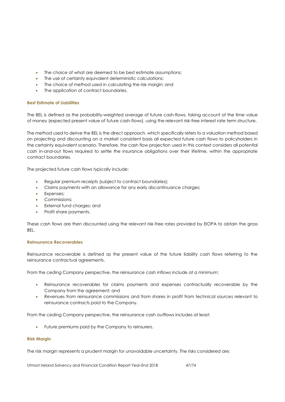- The choice of what are deemed to be best estimate assumptions:
- The use of certainty equivalent deterministic calculations;
- The choice of method used in calculating the risk margin; and
- The application of contract boundaries.

#### **Best Estimate of Liabilities**

The BEL is defined as the probability-weighted average of future cash-flows, taking account of the time value of money (expected present value of future cash-flows), using the relevant risk-free interest rate term structure.

The method used to derive the BEL is the direct approach, which specifically refers to a valuation method based on projecting and discounting on a market consistent basis all expected future cash flows to policyholders in the certainty equivalent scenario. Therefore, the cash flow projection used in this context considers all potential cash in-and-out flows required to settle the insurance obligations over their lifetime, within the appropriate contract boundaries.

The projected future cash flows typically include:

- Regular premium receipts (subject to contract boundaries);
- Claims payments with an allowance for any early discontinuance charges;
- **•** Expenses;
- Commissions;
- External fund charges; and
- Profit share payments.

These cash flows are then discounted using the relevant risk-free rates provided by EIOPA to obtain the gross **BEL.** 

#### **Reinsurance Recoverables**

Reinsurance recoverable is defined as the present value of the future liability cash flows referring to the reinsurance contractual agreements.

From the ceding Company perspective, the reinsurance cash inflows include at a minimum:

- Reinsurance recoverables for claims payments and expenses contractually recoverable by the Company from the agreement; and
- Revenues from reinsurance commissions and from shares in profit from technical sources relevant to reinsurance contracts paid to the Company.

From the ceding Company perspective, the reinsurance cash outflows includes at least:

Future premiums paid by the Company to reinsurers.

#### **Risk Margin**

The risk margin represents a prudent margin for unavoidable uncertainty. The risks considered are:

Utmost Ireland Solvency and Financial Condition Report Year-End 2018 47/74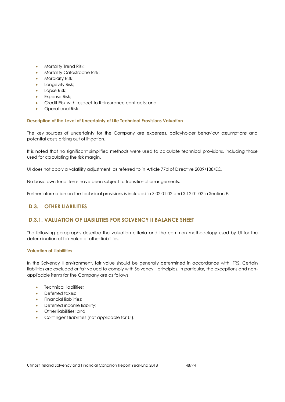- Mortality Trend Risk;
- Mortality Catastrophe Risk;
- **•** Morbidity Risk;
- Longevity Risk;
- Lapse Risk;
- Expense Risk;
- Credit Risk with respect to Reinsurance contracts; and
- Operational Risk.

#### **Description of the Level of Uncertainty of Life Technical Provisions Valuation**

The key sources of uncertainty for the Company are expenses, policyholder behaviour assumptions and potential costs arising out of litigation.

It is noted that no significant simplified methods were used to calculate technical provisions, including those used for calculating the risk margin.

UI does not apply a volatility adjustment, as referred to in Article 77d of Directive 2009/138/EC.

No basic own fund items have been subject to transitional arrangements.

Further information on the technical provisions is included in S.02.01.02 and S.12.01.02 in Section F.

# **D.3. OTHER LIABILITIES**

# **D.3.1. VALUATION OF LIABILITIES FOR SOLVENCY II BALANCE SHEET**

The following paragraphs describe the valuation criteria and the common methodology used by UI for the determination of fair value of other liabilities.

#### **Valuation of Liabilities**

In the Solvency II environment, fair value should be generally determined in accordance with IFRS. Certain liabilities are excluded or fair valued to comply with Solvency II principles. In particular, the exceptions and nonapplicable items for the Company are as follows.

- Technical liabilities;
- Deferred taxes;
- Financial liabilities;
- Deferred income liability;
- Other liabilities; and
- Contingent liabilities (not applicable for UI).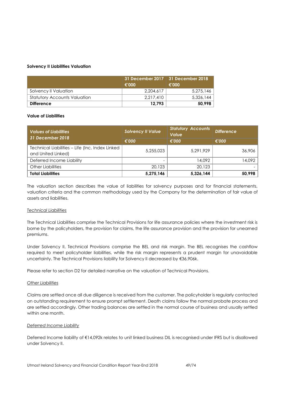#### **Solvency II Liabilities Valuation**

|                                     | €'000     | 31 December 2017   31 December 2018<br>€'000 |
|-------------------------------------|-----------|----------------------------------------------|
| Solvency II Valuation               | 2.204.617 | 5.275.146                                    |
| <b>Statutory Accounts Valuation</b> | 2.217.410 | 5,326,144                                    |
| <b>Difference</b>                   | 12.793    | 50.998                                       |

#### **Value of Liabilities**

| <b>Values of Liabilities</b><br>31 December 2018                      | <b>Solvency II Value</b> | <b>Statutory Accounts</b><br><b>Value</b> | <b>Difference</b> |
|-----------------------------------------------------------------------|--------------------------|-------------------------------------------|-------------------|
|                                                                       | €'000                    | €'000                                     | €'000             |
| Technical Liabilities - Life (Inc. Index Linked<br>and United Linked) | 5,255,023                | 5,291,929                                 | 36,906            |
| Deferred Income Liability                                             |                          | 14.092                                    | 14,092            |
| <b>Other Liabilities</b>                                              | 20,123                   | 20,123                                    |                   |
| <b>Total Liabilities</b>                                              | 5,275,146                | 5,326,144                                 | 50,998            |

The valuation section describes the value of liabilities for solvency purposes and for financial statements, valuation criteria and the common methodology used by the Company for the determination of fair value of assets and liabilities.

#### *Technical Liabilities*

The Technical Liabilities comprise the Technical Provisions for life assurance policies where the investment risk is borne by the policyholders, the provision for claims, the life assurance provision and the provision for unearned premiums.

Under Solvency II, Technical Provisions comprise the BEL and risk margin. The BEL recognises the cashflow required to meet policyholder liabilities, while the risk margin represents a prudent margin for unavoidable uncertainty. The Technical Provisions liability for Solvency II decreased by €36,906k.

Please refer to section D2 for detailed narrative on the valuation of Technical Provisions.

#### *Other Liabilities*

Claims are settled once all due diligence is received from the customer. The policyholder is regularly contacted on outstanding requirement to ensure prompt settlement. Death claims follow the normal probate process and are settled accordingly. Other trading balances are settled in the normal course of business and usually settled within one month.

#### *Deferred Income Liability*

Deferred Income liability of €14,092k relates to unit linked business DIL is recognised under IFRS but is disallowed under Solvency II.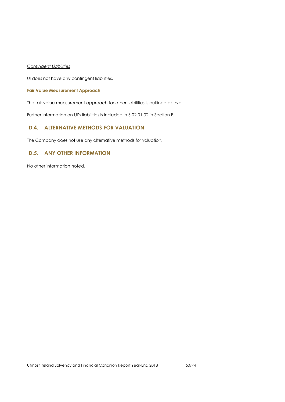*Contingent Liabilities*

UI does not have any contingent liabilities.

#### **Fair Value Measurement Approach**

The fair value measurement approach for other liabilities is outlined above.

Further information on UI's liabilities is included in S.02.01.02 in Section F.

# **D.4. ALTERNATIVE METHODS FOR VALUATION**

The Company does not use any alternative methods for valuation.

# **D.5. ANY OTHER INFORMATION**

No other information noted.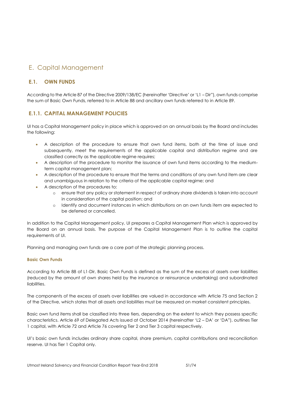# E. Capital Management

# **E.1. OWN FUNDS**

According to the Article 87 of the Directive 2009/138/EC (hereinafter 'Directive' or 'L1 – Dir"), own funds comprise the sum of Basic Own Funds, referred to in Article 88 and ancillary own funds referred to in Article 89.

# **E.1.1. CAPITAL MANAGEMENT POLICIES**

UI has a Capital Management policy in place which is approved on an annual basis by the Board and includes the following:

- A description of the procedure to ensure that own fund items, both at the time of issue and subsequently, meet the requirements of the applicable capital and distribution regime and are classified correctly as the applicable regime requires;
- A description of the procedure to monitor the issuance of own fund items according to the mediumterm capital management plan;
- A description of the procedure to ensure that the terms and conditions of any own fund item are clear and unambiguous in relation to the criteria of the applicable capital regime; and
- A description of the procedures to:
	- o ensure that any policy or statement in respect of ordinary share dividends is taken into account in consideration of the capital position; and
	- o Identify and document instances in which distributions on an own funds item are expected to be deferred or cancelled.

In addition to the Capital Management policy, UI prepares a Capital Management Plan which is approved by the Board on an annual basis. The purpose of the Capital Management Plan is to outline the capital requirements of UI.

Planning and managing own funds are a core part of the strategic planning process.

### **Basic Own Funds**

According to Article 88 of L1-Dir, Basic Own Funds is defined as the sum of the excess of assets over liabilities (reduced by the amount of own shares held by the insurance or reinsurance undertaking) and subordinated liabilities.

The components of the excess of assets over liabilities are valued in accordance with Article 75 and Section 2 of the Directive, which states that all assets and liabilities must be measured on market consistent principles.

Basic own fund items shall be classified into three tiers, depending on the extent to which they possess specific characteristics. Article 69 of Delegated Acts issued at October 2014 (hereinafter 'L2 – DA' or 'DA"), outlines Tier 1 capital, with Article 72 and Article 76 covering Tier 2 and Tier 3 capital respectively.

UI's basic own funds includes ordinary share capital, share premium, capital contributions and reconciliation reserve. UI has Tier 1 Capital only.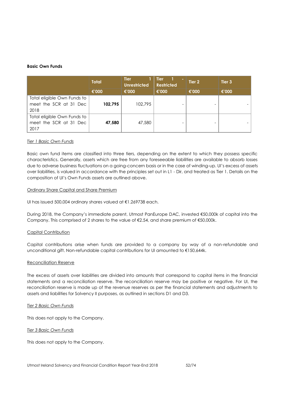#### **Basic Own Funds**

|                             | <b>Total</b> | <b>Tier</b><br><b>Unrestricted</b> | <b>Tier</b><br><b>Restricted</b> | Tier 2 | Tier 3 |
|-----------------------------|--------------|------------------------------------|----------------------------------|--------|--------|
|                             | €'000        | €'000                              | €'000                            | €'000  | €'000  |
| Total eligible Own Funds to |              |                                    |                                  |        |        |
| meet the SCR at 31 Dec      | 102,795      | 102,795                            |                                  |        |        |
| 2018                        |              |                                    |                                  |        |        |
| Total eligible Own Funds to |              |                                    |                                  |        |        |
| meet the SCR at 31 Dec      | 47,580       | 47,580                             |                                  |        |        |
| 2017                        |              |                                    |                                  |        |        |

#### *Tier 1 Basic Own Funds*

Basic own fund items are classified into three tiers, depending on the extent to which they possess specific characteristics. Generally, assets which are free from any foreseeable liabilities are available to absorb losses due to adverse business fluctuations on a going-concern basis or in the case of winding-up. UI's excess of assets over liabilities, is valued in accordance with the principles set out in L1 - Dir, and treated as Tier 1. Details on the composition of UI's Own Funds assets are outlined above.

#### Ordinary Share Capital and Share Premium

UI has issued 500,004 ordinary shares valued at €1.269738 each.

During 2018, the Company's immediate parent, Utmost PanEurope DAC, invested €50,000k of capital into the Company. This comprised of 2 shares to the value of €2.54, and share premium of €50,000k.

#### Capital Contribution

Capital contributions arise when funds are provided to a company by way of a non-refundable and unconditional gift. Non-refundable capital contributions for UI amounted to €150,644k.

#### Reconciliation Reserve

The excess of assets over liabilities are divided into amounts that correspond to capital items in the financial statements and a reconciliation reserve. The reconciliation reserve may be positive or negative. For UI, the reconciliation reserve is made up of the revenue reserves as per the financial statements and adjustments to assets and liabilities for Solvency II purposes, as outlined in sections D1 and D3.

#### *Tier 2 Basic Own Funds*

This does not apply to the Company.

*Tier 3 Basic Own Funds*

This does not apply to the Company.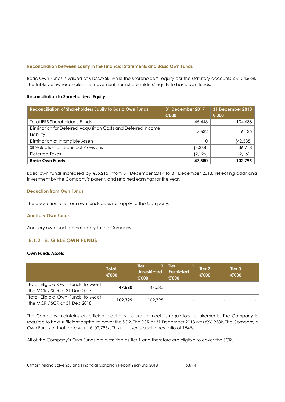#### **Reconciliation between Equity in the Financial Statements and Basic Own Funds**

Basic Own Funds is valued at €102,795k, while the shareholders' equity per the statutory accounts is €104,688k. The table below reconciles the movement from shareholders' equity to basic own funds.

#### **Reconciliation to Shareholders' Equity**

| <b>Reconciliation of Shareholders Equity to Basic Own Funds</b>             | 31 December 2017<br>€'000 | 31 December 2018<br>€'000 |
|-----------------------------------------------------------------------------|---------------------------|---------------------------|
| Total IFRS Shareholder's Funds                                              | 45,443                    | 104,688                   |
| Elimination for Deferred Acquisition Costs and Deferred Income<br>Liability | 7.632                     | 6,135                     |
| Elimination of Intangible Assets                                            |                           | (42, 585)                 |
| SII Valuation of Technical Provisions                                       | (3,368)                   | 36,718                    |
| Deferred Taxes                                                              | (2, 126)                  | (2,161)                   |
| <b>Basic Own Funds</b>                                                      | 47,580                    | 102,795                   |

Basic own funds increased by €55,215k from 31 December 2017 to 31 December 2018, reflecting additional investment by the Company's parent, and retained earnings for the year.

#### **Deduction from Own Funds**

The deduction rule from own funds does not apply to the Company.

#### **Ancillary Own Funds**

Ancillary own funds do not apply to the Company.

# **E.1.2. ELIGIBLE OWN FUNDS**

#### **Own Funds Assets**

|                                                                  | <b>Total</b><br>€'000 | <b>Tier</b><br><b>Unrestricted</b><br>€'000 | <b>Tier</b><br><b>Restricted</b><br>€'000 | Tier 2<br>€'000 | Tier 3<br>€'000 |
|------------------------------------------------------------------|-----------------------|---------------------------------------------|-------------------------------------------|-----------------|-----------------|
| Total Eligible Own Funds to Meet<br>the MCR / SCR at 31 Dec 2017 | 47,580                | 47,580                                      |                                           |                 |                 |
| Total Eligible Own Funds to Meet<br>the MCR / SCR at 31 Dec 2018 | 102.795               | 102,795                                     |                                           |                 |                 |

The Company maintains an efficient capital structure to meet its regulatory requirements. The Company is required to hold sufficient capital to cover the SCR. The SCR at 31 December 2018 was €66,938k. The Company's Own Funds at that date were €102,795k. This represents a solvency ratio of 154%.

All of the Company's Own Funds are classified as Tier 1 and therefore are eligible to cover the SCR.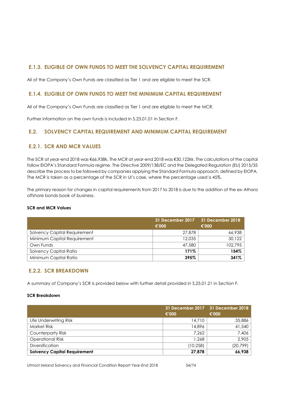# **E.1.3. ELIGIBLE OF OWN FUNDS TO MEET THE SOLVENCY CAPITAL REQUIREMENT**

All of the Company's Own Funds are classified as Tier 1 and are eligible to meet the SCR.

### **E.1.4. ELIGIBLE OF OWN FUNDS TO MEET THE MINIMUM CAPITAL REQUIREMENT**

All of the Company's Own Funds are classified as Tier 1 and are eligible to meet the MCR.

Further information on the own funds is included in S.23.01.01 in Section F.

# **E.2. SOLVENCY CAPITAL REQUIREMENT AND MINIMUM CAPITAL REQUIREMENT**

# **E.2.1. SCR AND MCR VALUES**

The SCR at year-end 2018 was €66,938k. The MCR at year-end 2018 was €30,122kk. The calculations of the capital follow EIOPA's Standard Formula regime. The Directive 2009/138/EC and the Delegated Regulation (EU) 2015/35 describe the process to be followed by companies applying the Standard Formula approach, defined by EIOPA. The MCR is taken as a percentage of the SCR in UI's case, where the percentage used is 45%.

The primary reason for changes in capital requirements from 2017 to 2018 is due to the addition of the ex-Athora offshore bonds book of business.

#### **SCR and MCR Values**

|                              | 31 December 2017<br>€'000 | 31 December 2018<br>€'000 |
|------------------------------|---------------------------|---------------------------|
| Solvency Capital Requirement | 27.878                    | 66,938                    |
| Minimum Capital Requirement  | 12.035                    | 30,122                    |
| Own Funds                    | 47,580                    | 102,795                   |
| Solvency Capital Ratio       | 171%                      | 154%                      |
| Minimum Capital Ratio        | 395%                      | 341%                      |

### **E.2.2. SCR BREAKDOWN**

A summary of Company's SCR is provided below with further detail provided in S.25.01.21 in Section F.

#### **SCR Breakdown**

|                                     | 31 December 2017<br>€'000 | 31 December 2018<br>€'000 |
|-------------------------------------|---------------------------|---------------------------|
| Life Underwriting Risk              | 14,710                    | 35,886                    |
| <b>Market Risk</b>                  | 14,896                    | 41,540                    |
| <b>Counterparty Risk</b>            | 7.262                     | 7,406                     |
| <b>Operational Risk</b>             | 1.268                     | 2,905                     |
| <b>Diversification</b>              | (10, 258)                 | (20, 799)                 |
| <b>Solvency Capital Requirement</b> | 27,878                    | 66,938                    |

Utmost Ireland Solvency and Financial Condition Report Year-End 2018 54/74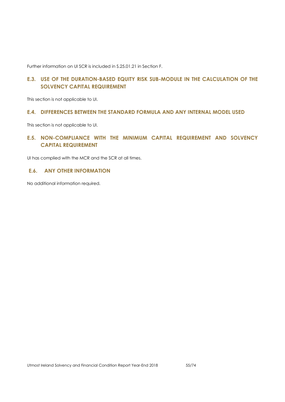Further information on UI SCR is included in S.25.01.21 in Section F.

# **E.3. USE OF THE DURATION-BASED EQUITY RISK SUB-MODULE IN THE CALCULATION OF THE SOLVENCY CAPITAL REQUIREMENT**

This section is not applicable to UI.

### **E.4. DIFFERENCES BETWEEN THE STANDARD FORMULA AND ANY INTERNAL MODEL USED**

This section is not applicable to UI.

# **E.5. NON-COMPLIANCE WITH THE MINIMUM CAPITAL REQUIREMENT AND SOLVENCY CAPITAL REQUIREMENT**

UI has complied with the MCR and the SCR at all times.

### **E.6. ANY OTHER INFORMATION**

No additional information required.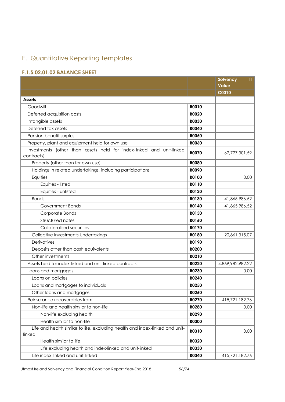# F. Quantitative Reporting Templates

# **F.1.S.02.01.02 BALANCE SHEET**

|                                                                                        |              | Solvency<br>Ш<br><b>Value</b> |
|----------------------------------------------------------------------------------------|--------------|-------------------------------|
|                                                                                        |              | C0010                         |
| <b>Assets</b>                                                                          |              |                               |
| Goodwill                                                                               | R0010        |                               |
| Deferred acquisition costs                                                             | R0020        |                               |
| Intangible assets                                                                      | <b>R0030</b> |                               |
| Deferred tax assets                                                                    | <b>R0040</b> |                               |
| Pension benefit surplus                                                                | <b>R0050</b> |                               |
| Property, plant and equipment held for own use                                         | <b>ROO60</b> |                               |
| Investments (other than assets held for index-linked and unit-linked<br>contracts)     | <b>R0070</b> | 62,727,301.59                 |
| Property (other than for own use)                                                      | <b>R0080</b> |                               |
| Holdings in related undertakings, including participations                             | <b>ROO90</b> |                               |
| Equities                                                                               | R0100        | 0.00                          |
| Equities - listed                                                                      | R0110        |                               |
| Equities - unlisted                                                                    | R0120        |                               |
| <b>Bonds</b>                                                                           | R0130        | 41,865,986.52                 |
| Government Bonds                                                                       | R0140        | 41,865,986.52                 |
| Corporate Bonds                                                                        | R0150        |                               |
| Structured notes                                                                       | R0160        |                               |
| Collateralised securities                                                              | <b>R0170</b> |                               |
| Collective Investments Undertakings                                                    | <b>R0180</b> | 20,861,315.07                 |
| Derivatives                                                                            | R0190        |                               |
| Deposits other than cash equivalents                                                   | <b>R0200</b> |                               |
| Other investments                                                                      | R0210        |                               |
| Assets held for index-linked and unit-linked contracts                                 | R0220        | 4,869,982,982.22              |
| Loans and mortgages                                                                    | R0230        | 0.00                          |
| Loans on policies                                                                      | R0240        |                               |
| Loans and mortgages to individuals                                                     | R0250        |                               |
| Other loans and mortgages                                                              | R0260        |                               |
| Reinsurance recoverables from:                                                         | R0270        | 415,721,182.76                |
| Non-life and health similar to non-life                                                | <b>R0280</b> | 0.00                          |
| Non-life excluding health                                                              | R0290        |                               |
| Health similar to non-life                                                             | <b>R0300</b> |                               |
| Life and health similar to life, excluding health and index-linked and unit-<br>linked | R0310        | 0.00                          |
| Health similar to life                                                                 | R0320        |                               |
| Life excluding health and index-linked and unit-linked                                 | R0330        |                               |
| Life index-linked and unit-linked                                                      | R0340        | 415,721,182.76                |

Utmost Ireland Solvency and Financial Condition Report Year-End 2018 56/74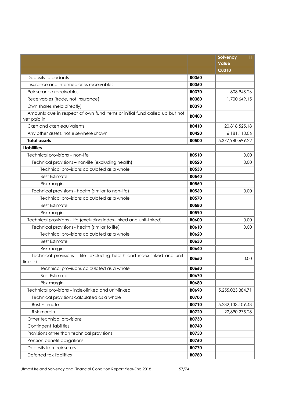|                                                                                     |              | Ш.<br>Solvency<br><b>Value</b> |
|-------------------------------------------------------------------------------------|--------------|--------------------------------|
|                                                                                     |              | <b>C0010</b>                   |
| Deposits to cedants                                                                 | R0350        |                                |
| Insurance and intermediaries receivables                                            | <b>R0360</b> |                                |
| Reinsurance receivables                                                             | R0370        | 808,948.26                     |
| Receivables (trade, not insurance)                                                  | <b>R0380</b> | 1,700,649.15                   |
| Own shares (held directly)                                                          | R0390        |                                |
| Amounts due in respect of own fund items or initial fund called up but not          |              |                                |
| yet paid in                                                                         | <b>R0400</b> |                                |
| Cash and cash equivalents                                                           | R0410        | 20,818,525.18                  |
| Any other assets, not elsewhere shown                                               | R0420        | 6, 181, 110.06                 |
| <b>Total assets</b>                                                                 | <b>R0500</b> | 5,377,940,699.22               |
| <b>Liabilities</b>                                                                  |              |                                |
| Technical provisions - non-life                                                     | R0510        | 0.00                           |
| Technical provisions - non-life (excluding health)                                  | R0520        | 0.00                           |
| Technical provisions calculated as a whole                                          | R0530        |                                |
| <b>Best Estimate</b>                                                                | <b>R0540</b> |                                |
| Risk margin                                                                         | <b>R0550</b> |                                |
| Technical provisions - health (similar to non-life)                                 | <b>R0560</b> | 0.00                           |
| Technical provisions calculated as a whole                                          | <b>R0570</b> |                                |
| <b>Best Estimate</b>                                                                | <b>R0580</b> |                                |
| Risk margin                                                                         | <b>R0590</b> |                                |
| Technical provisions - life (excluding index-linked and unit-linked)                | <b>R0600</b> | 0.00                           |
| Technical provisions - health (similar to life)                                     | R0610        | 0.00                           |
| Technical provisions calculated as a whole                                          | R0620        |                                |
| <b>Best Estimate</b>                                                                | R0630        |                                |
| Risk margin                                                                         | R0640        |                                |
| Technical provisions - life (excluding health and index-linked and unit-<br>linked) | R0650        | 0.00                           |
| Technical provisions calculated as a whole                                          | <b>RO660</b> |                                |
| <b>Best Estimate</b>                                                                | R0670        |                                |
| Risk margin                                                                         | R0680        |                                |
| Technical provisions - index-linked and unit-linked                                 | R0690        | 5,255,023,384.71               |
| Technical provisions calculated as a whole                                          | <b>R0700</b> |                                |
| <b>Best Estimate</b>                                                                | R0710        | 5,232,133,109.43               |
| Risk margin                                                                         | R0720        | 22,890,275.28                  |
| Other technical provisions                                                          | R0730        |                                |
| Contingent liabilities                                                              | R0740        |                                |
| Provisions other than technical provisions                                          | R0750        |                                |
| Pension benefit obligations                                                         | R0760        |                                |
| Deposits from reinsurers                                                            | R0770        |                                |
| Deferred tax liabilities                                                            | R0780        |                                |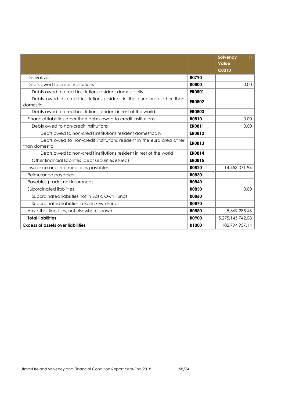|                                                                                        |               | Ш<br>Solvency<br>Value |
|----------------------------------------------------------------------------------------|---------------|------------------------|
|                                                                                        |               | C0010                  |
| Derivatives                                                                            | <b>R0790</b>  |                        |
| Debts owed to credit institutions                                                      | <b>R0800</b>  | 0.00                   |
| Debts owed to credit institutions resident domestically                                | <b>ER0801</b> |                        |
| Debts owed to credit institutions resident in the euro area other than<br>domestic     | <b>ER0802</b> |                        |
| Debts owed to credit institutions resident in rest of the world                        | <b>ER0803</b> |                        |
| Financial liabilities other than debts owed to credit institutions                     | R0810         | 0.00                   |
| Debts owed to non-credit institutions                                                  | ER0811        | 0.00                   |
| Debts owed to non-credit institutions resident domestically                            | <b>ER0812</b> |                        |
| Debts owed to non-credit institutions resident in the euro area other<br>than domestic | <b>ER0813</b> |                        |
| Debts owed to non-credit institutions resident in rest of the world                    | ER0814        |                        |
| Other financial liabilities (debt securities issued)                                   | <b>ER0815</b> |                        |
| Insurance and intermediaries payables                                                  | <b>R0820</b>  | 14,453,071.94          |
| Reinsurance payables                                                                   | <b>R0830</b>  |                        |
| Payables (trade, not insurance)                                                        | <b>R0840</b>  |                        |
| Subordinated liabilities                                                               | <b>R0850</b>  | 0.00                   |
| Subordinated liabilities not in Basic Own Funds                                        | <b>R0860</b>  |                        |
| Subordinated liabilities in Basic Own Funds                                            | <b>R0870</b>  |                        |
| Any other liabilities, not elsewhere shown                                             | <b>R0880</b>  | 5,669,285.43           |
| <b>Total liabilities</b>                                                               | <b>R0900</b>  | 5,275,145,742.08       |
| <b>Excess of assets over liabilities</b>                                               | R1000         | 102,794,957.14         |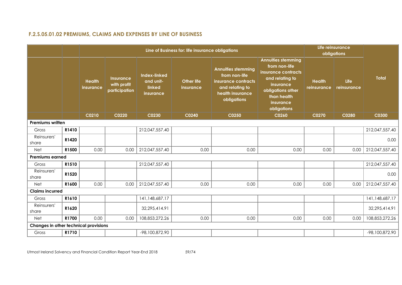# **F.2.S.05.01.02 PREMIUMS, CLAIMS AND EXPENSES BY LINE OF BUSINESS**

|                                       |       |                                   |                                                  |                                                  | Line of Business for: life insurance obligations |                                                                                                                         |                                                                                                                                                                   |                              | Life reinsurance<br>obligations |                |  |  |  |
|---------------------------------------|-------|-----------------------------------|--------------------------------------------------|--------------------------------------------------|--------------------------------------------------|-------------------------------------------------------------------------------------------------------------------------|-------------------------------------------------------------------------------------------------------------------------------------------------------------------|------------------------------|---------------------------------|----------------|--|--|--|
|                                       |       | <b>Health</b><br><b>insurance</b> | <b>Insurance</b><br>with profit<br>participation | Index-linked<br>and unit-<br>linked<br>insurance | <b>Other life</b><br>insurance                   | <b>Annuities stemming</b><br>from non-life<br>insurance contracts<br>and relating to<br>health insurance<br>obligations | <b>Annuities stemming</b><br>from non-life<br>insurance contracts<br>and relating to<br>insurance<br>obligations other<br>than health<br>insurance<br>obligations | <b>Health</b><br>reinsurance | Life<br>reinsurance             | <b>Total</b>   |  |  |  |
|                                       |       | C0210                             | C0220                                            | C0230                                            | C0240                                            | C0250                                                                                                                   | C0260                                                                                                                                                             | C0270                        | C0280                           | C0300          |  |  |  |
| Premiums written                      |       |                                   |                                                  |                                                  |                                                  |                                                                                                                         |                                                                                                                                                                   |                              |                                 |                |  |  |  |
| Gross                                 | R1410 |                                   |                                                  | 212,047,557.40                                   |                                                  |                                                                                                                         |                                                                                                                                                                   |                              |                                 | 212,047,557.40 |  |  |  |
| Reinsurers'<br>share                  | R1420 |                                   |                                                  |                                                  |                                                  |                                                                                                                         |                                                                                                                                                                   |                              |                                 | 0.00           |  |  |  |
| <b>Net</b>                            | R1500 | 0.00                              | 0.00                                             | 212,047,557.40                                   | 0.00                                             | 0.00                                                                                                                    | 0.00                                                                                                                                                              | 0.00                         | 0.00                            | 212,047,557.40 |  |  |  |
| <b>Premiums earned</b>                |       |                                   |                                                  |                                                  |                                                  |                                                                                                                         |                                                                                                                                                                   |                              |                                 |                |  |  |  |
| Gross                                 | R1510 |                                   |                                                  | 212,047,557.40                                   |                                                  |                                                                                                                         |                                                                                                                                                                   |                              |                                 | 212,047,557.40 |  |  |  |
| Reinsurers'<br>share                  | R1520 |                                   |                                                  |                                                  |                                                  |                                                                                                                         |                                                                                                                                                                   |                              |                                 | 0.00           |  |  |  |
| <b>Net</b>                            | R1600 | 0.00                              | 0.00                                             | 212,047,557.40                                   | 0.00                                             | 0.00                                                                                                                    | 0.00                                                                                                                                                              | 0.00                         | 0.00                            | 212,047,557.40 |  |  |  |
| <b>Claims incurred</b>                |       |                                   |                                                  |                                                  |                                                  |                                                                                                                         |                                                                                                                                                                   |                              |                                 |                |  |  |  |
| Gross                                 | R1610 |                                   |                                                  | 141,148,687.17                                   |                                                  |                                                                                                                         |                                                                                                                                                                   |                              |                                 | 141,148,687.17 |  |  |  |
| Reinsurers'<br>share                  | R1620 |                                   |                                                  | 32,295,414.91                                    |                                                  |                                                                                                                         |                                                                                                                                                                   |                              |                                 | 32,295,414.91  |  |  |  |
| Net                                   | R1700 | 0.00                              | 0.00                                             | 108,853,272.26                                   | 0.00                                             | 0.00                                                                                                                    | 0.00                                                                                                                                                              | 0.00                         | 0.00                            | 108,853,272.26 |  |  |  |
| Changes in other technical provisions |       |                                   |                                                  |                                                  |                                                  |                                                                                                                         |                                                                                                                                                                   |                              |                                 |                |  |  |  |
| Gross                                 | R1710 |                                   |                                                  | -98,100,872.90                                   |                                                  |                                                                                                                         |                                                                                                                                                                   |                              |                                 | -98,100,872.90 |  |  |  |

Utmost Ireland Solvency and Financial Condition Report Year-End 2018 59/74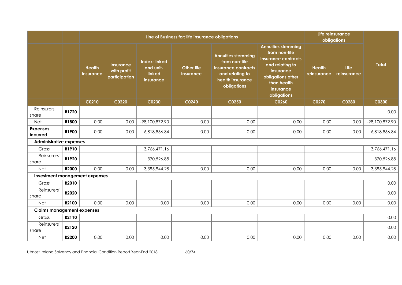|                                   |       |                            |                                           |                                                         | Line of Business for: life insurance obligations |                                                                                                                         |                                                                                                                                                                   |                              | Life reinsurance<br>obligations |                  |
|-----------------------------------|-------|----------------------------|-------------------------------------------|---------------------------------------------------------|--------------------------------------------------|-------------------------------------------------------------------------------------------------------------------------|-------------------------------------------------------------------------------------------------------------------------------------------------------------------|------------------------------|---------------------------------|------------------|
|                                   |       | <b>Health</b><br>insurance | Insurance<br>with profit<br>participation | <b>Index-linked</b><br>and unit-<br>linked<br>insurance | <b>Other life</b><br>insurance                   | <b>Annuities stemming</b><br>from non-life<br>insurance contracts<br>and relating to<br>health insurance<br>obligations | <b>Annuities stemming</b><br>from non-life<br>insurance contracts<br>and relating to<br>insurance<br>obligations other<br>than health<br>insurance<br>obligations | <b>Health</b><br>reinsurance | <b>Life</b><br>reinsurance      | <b>Total</b>     |
|                                   |       | C0210                      | C0220                                     | C0230                                                   | C0240                                            | C0250                                                                                                                   | C0260                                                                                                                                                             | C0270                        | C0280                           | C0300            |
| Reinsurers'<br>share              | R1720 |                            |                                           |                                                         |                                                  |                                                                                                                         |                                                                                                                                                                   |                              |                                 | 0.00             |
| <b>Net</b>                        | R1800 | 0.00                       | 0.00                                      | -98,100,872.90                                          | 0.00                                             | 0.00                                                                                                                    | 0.00                                                                                                                                                              | 0.00                         | 0.00                            | $-98,100,872.90$ |
| <b>Expenses</b><br>incurred       | R1900 | 0.00                       | 0.00                                      | 6,818,866.84                                            | 0.00                                             | 0.00                                                                                                                    | 0.00                                                                                                                                                              | 0.00                         | 0.00                            | 6,818,866.84     |
| <b>Administrative expenses</b>    |       |                            |                                           |                                                         |                                                  |                                                                                                                         |                                                                                                                                                                   |                              |                                 |                  |
| Gross                             | R1910 |                            |                                           | 3,766,471.16                                            |                                                  |                                                                                                                         |                                                                                                                                                                   |                              |                                 | 3,766,471.16     |
| Reinsurers'<br>share              | R1920 |                            |                                           | 370,526.88                                              |                                                  |                                                                                                                         |                                                                                                                                                                   |                              |                                 | 370,526.88       |
| Net                               | R2000 | 0.00                       | 0.00                                      | 3,395,944.28                                            | 0.00                                             | 0.00                                                                                                                    | 0.00                                                                                                                                                              | 0.00                         | 0.00                            | 3,395,944.28     |
| Investment management expenses    |       |                            |                                           |                                                         |                                                  |                                                                                                                         |                                                                                                                                                                   |                              |                                 |                  |
| Gross                             | R2010 |                            |                                           |                                                         |                                                  |                                                                                                                         |                                                                                                                                                                   |                              |                                 | 0.00             |
| Reinsurers'<br>share              | R2020 |                            |                                           |                                                         |                                                  |                                                                                                                         |                                                                                                                                                                   |                              |                                 | 0.00             |
| Net                               | R2100 | 0.00                       | 0.00                                      | 0.00                                                    | 0.00                                             | 0.00                                                                                                                    | 0.00                                                                                                                                                              | 0.00                         | 0.00                            | 0.00             |
| <b>Claims management expenses</b> |       |                            |                                           |                                                         |                                                  |                                                                                                                         |                                                                                                                                                                   |                              |                                 |                  |
| Gross                             | R2110 |                            |                                           |                                                         |                                                  |                                                                                                                         |                                                                                                                                                                   |                              |                                 | 0.00             |
| Reinsurers'<br>share              | R2120 |                            |                                           |                                                         |                                                  |                                                                                                                         |                                                                                                                                                                   |                              |                                 | 0.00             |
| Net                               | R2200 | 0.00                       | 0.00                                      | 0.00                                                    | 0.00                                             | 0.00                                                                                                                    | 0.00                                                                                                                                                              | 0.00                         | 0.00                            | 0.00             |

Utmost Ireland Solvency and Financial Condition Report Year-End 2018 60/74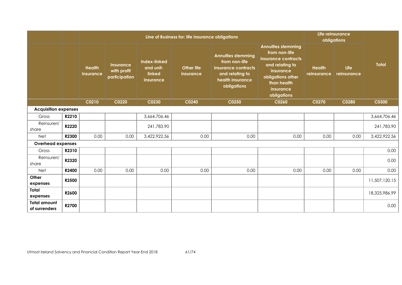|                                      |       |                            |                                           |                                                         | Line of Business for: life insurance obligations |                                                                                                                         |                                                                                                                                                                          |                              | Life reinsurance<br>obligations |               |  |  |  |
|--------------------------------------|-------|----------------------------|-------------------------------------------|---------------------------------------------------------|--------------------------------------------------|-------------------------------------------------------------------------------------------------------------------------|--------------------------------------------------------------------------------------------------------------------------------------------------------------------------|------------------------------|---------------------------------|---------------|--|--|--|
|                                      |       | <b>Health</b><br>insurance | Insurance<br>with profit<br>participation | <b>Index-linked</b><br>and unit-<br>linked<br>insurance | <b>Other life</b><br>insurance                   | <b>Annuities stemming</b><br>from non-life<br>insurance contracts<br>and relating to<br>health insurance<br>obligations | <b>Annuities stemming</b><br>from non-life<br>insurance contracts<br>and relating to<br><b>insurance</b><br>obligations other<br>than health<br>insurance<br>obligations | <b>Health</b><br>reinsurance | Life<br>reinsurance             | <b>Total</b>  |  |  |  |
|                                      |       | C0210                      | C0220                                     | C0230                                                   | C0240                                            | C0250                                                                                                                   | C0260                                                                                                                                                                    | C0270                        | C0280                           | <b>C0300</b>  |  |  |  |
| <b>Acquisition expenses</b>          |       |                            |                                           |                                                         |                                                  |                                                                                                                         |                                                                                                                                                                          |                              |                                 |               |  |  |  |
| Gross                                | R2210 |                            |                                           | 3,664,706.46                                            |                                                  |                                                                                                                         |                                                                                                                                                                          |                              |                                 | 3,664,706.46  |  |  |  |
| Reinsurers'<br>share                 | R2220 |                            |                                           | 241,783.90                                              |                                                  |                                                                                                                         |                                                                                                                                                                          |                              |                                 | 241,783.90    |  |  |  |
| Net                                  | R2300 | 0.00                       | 0.00                                      | 3,422,922.56                                            | 0.00                                             | 0.00                                                                                                                    | 0.00                                                                                                                                                                     | 0.00                         | 0.00                            | 3,422,922.56  |  |  |  |
| <b>Overhead expenses</b>             |       |                            |                                           |                                                         |                                                  |                                                                                                                         |                                                                                                                                                                          |                              |                                 |               |  |  |  |
| Gross                                | R2310 |                            |                                           |                                                         |                                                  |                                                                                                                         |                                                                                                                                                                          |                              |                                 | 0.00          |  |  |  |
| Reinsurers'<br>share                 | R2320 |                            |                                           |                                                         |                                                  |                                                                                                                         |                                                                                                                                                                          |                              |                                 | 0.00          |  |  |  |
| Net                                  | R2400 | 0.00                       | 0.00                                      | 0.00                                                    | 0.00                                             | 0.00                                                                                                                    | 0.00                                                                                                                                                                     | 0.00                         | 0.00                            | 0.00          |  |  |  |
| Other<br>expenses                    | R2500 |                            |                                           |                                                         |                                                  |                                                                                                                         |                                                                                                                                                                          |                              |                                 | 11,507,120.15 |  |  |  |
| Total<br>expenses                    | R2600 |                            |                                           |                                                         |                                                  |                                                                                                                         |                                                                                                                                                                          |                              |                                 | 18,325,986.99 |  |  |  |
| <b>Total amount</b><br>of surrenders | R2700 |                            |                                           |                                                         |                                                  |                                                                                                                         |                                                                                                                                                                          |                              |                                 | 0.00          |  |  |  |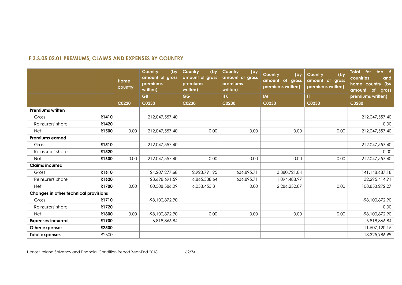# **F.3.S.05.02.01 PREMIUMS, CLAIMS AND EXPENSES BY COUNTRY**

|                                       |       | Home<br>country | Country<br>(by<br>amount of gross<br>premiums<br>written) | Country<br>(by<br>amount of gross<br>premiums<br>written) | (by<br>Country<br>amount of gross<br>premiums<br>written) | Country<br>(by<br>of gross<br>amount<br>premiums written) | (by<br>Country<br>amount of gross<br>premiums written) | top 5<br>Total for<br>countries<br>and<br>home country (by<br>amount<br><b>of</b><br>gross |
|---------------------------------------|-------|-----------------|-----------------------------------------------------------|-----------------------------------------------------------|-----------------------------------------------------------|-----------------------------------------------------------|--------------------------------------------------------|--------------------------------------------------------------------------------------------|
|                                       |       |                 | <b>GB</b>                                                 | <b>GG</b>                                                 | <b>HK</b>                                                 | IM                                                        | IT.                                                    | premiums written)                                                                          |
|                                       |       | C0220           | C0230                                                     | C0230                                                     | C0230                                                     | C0230                                                     | C0230                                                  | C0280                                                                                      |
| <b>Premiums written</b>               |       |                 |                                                           |                                                           |                                                           |                                                           |                                                        |                                                                                            |
| Gross                                 | R1410 |                 | 212,047,557.40                                            |                                                           |                                                           |                                                           |                                                        | 212,047,557.40                                                                             |
| Reinsurers' share                     | R1420 |                 |                                                           |                                                           |                                                           |                                                           |                                                        | 0.00                                                                                       |
| <b>Net</b>                            | R1500 | 0.00            | 212,047,557.40                                            | 0.00                                                      | 0.00                                                      | 0.00                                                      | 0.00                                                   | 212,047,557.40                                                                             |
| <b>Premiums earned</b>                |       |                 |                                                           |                                                           |                                                           |                                                           |                                                        |                                                                                            |
| Gross                                 | R1510 |                 | 212,047,557.40                                            |                                                           |                                                           |                                                           |                                                        | 212,047,557.40                                                                             |
| Reinsurers' share                     | R1520 |                 |                                                           |                                                           |                                                           |                                                           |                                                        | 0.00                                                                                       |
| <b>Net</b>                            | R1600 | 0.00            | 212,047,557.40                                            | 0.00                                                      | 0.00                                                      | 0.00                                                      | 0.00                                                   | 212,047,557.40                                                                             |
| <b>Claims incurred</b>                |       |                 |                                                           |                                                           |                                                           |                                                           |                                                        |                                                                                            |
| Gross                                 | R1610 |                 | 124, 207, 277.68                                          | 12,923,791.95                                             | 636,895.71                                                | 3,380,721.84                                              |                                                        | 141,148,687.18                                                                             |
| Reinsurers' share                     | R1620 |                 | 23,698,691.59                                             | 6,865,338.64                                              | 636,895.71                                                | 1,094,488.97                                              |                                                        | 32,295,414.91                                                                              |
| <b>Net</b>                            | R1700 | 0.00            | 100,508,586.09                                            | 6,058,453.31                                              | 0.00                                                      | 2,286,232.87                                              | 0.00                                                   | 108,853,272.27                                                                             |
| Changes in other technical provisions |       |                 |                                                           |                                                           |                                                           |                                                           |                                                        |                                                                                            |
| Gross                                 | R1710 |                 | -98,100,872.90                                            |                                                           |                                                           |                                                           |                                                        | -98,100,872.90                                                                             |
| Reinsurers' share                     | R1720 |                 |                                                           |                                                           |                                                           |                                                           |                                                        | 0.00                                                                                       |
| <b>Net</b>                            | R1800 | 0.00            | -98,100,872.90                                            | 0.00                                                      | 0.00                                                      | 0.00                                                      | 0.00                                                   | -98,100,872.90                                                                             |
| <b>Expenses incurred</b>              | R1900 |                 | 6,818,866.84                                              |                                                           |                                                           |                                                           |                                                        | 6,818,866.84                                                                               |
| Other expenses                        | R2500 |                 |                                                           |                                                           |                                                           |                                                           |                                                        | 11,507,120.15                                                                              |
| <b>Total expenses</b>                 | R2600 |                 |                                                           |                                                           |                                                           |                                                           |                                                        | 18,325,986.99                                                                              |

Utmost Ireland Solvency and Financial Condition Report Year-End 2018 62/74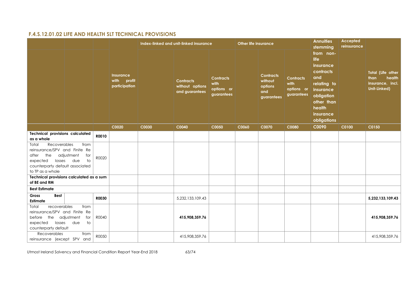# **F.4.S.12.01.02 LIFE AND HEALTH SLT TECHNICAL PROVISIONS**

|                                                                                                                                                     |                                                 |              |                                                     | <b>Other life insurance</b><br>Index-linked and unit-linked insurance |                                                       |                                                      |       |                                                             |                                                      | <b>Annuities</b><br>stemming                                                                                                                     | <b>Accepted</b><br>reinsurance |                                                                                |
|-----------------------------------------------------------------------------------------------------------------------------------------------------|-------------------------------------------------|--------------|-----------------------------------------------------|-----------------------------------------------------------------------|-------------------------------------------------------|------------------------------------------------------|-------|-------------------------------------------------------------|------------------------------------------------------|--------------------------------------------------------------------------------------------------------------------------------------------------|--------------------------------|--------------------------------------------------------------------------------|
|                                                                                                                                                     |                                                 |              | <b>Insurance</b><br>with<br>profit<br>participation |                                                                       | <b>Contracts</b><br>without options<br>and guarantees | <b>Contracts</b><br>with<br>options or<br>guarantees |       | <b>Contracts</b><br>without<br>options<br>and<br>guarantees | <b>Contracts</b><br>with<br>options or<br>guarantees | from non-<br>life<br>insurance<br>contracts<br>and<br>relating to<br>insurance<br>obligation<br>other than<br>health<br>insurance<br>obligations |                                | <b>Total (Life other</b><br>health<br>than<br>insurance, incl.<br>Unit-Linked) |
|                                                                                                                                                     |                                                 |              | C0020                                               | C0030                                                                 | C0040                                                 | C0050                                                | C0060 | C0070                                                       | C0080                                                | C0090                                                                                                                                            | C0100                          | C0150                                                                          |
| <b>Technical provisions calculated</b><br>as a whole                                                                                                |                                                 | R0010        |                                                     |                                                                       |                                                       |                                                      |       |                                                             |                                                      |                                                                                                                                                  |                                |                                                                                |
| Recoverables<br>Total<br>reinsurance/SPV and Finite Re<br>the<br>after<br>losses<br>expected<br>counterparty default associated<br>to TP as a whole | from<br>adjustment<br>for<br>due<br>$\dagger$ o | R0020        |                                                     |                                                                       |                                                       |                                                      |       |                                                             |                                                      |                                                                                                                                                  |                                |                                                                                |
| Technical provisions calculated as a sum<br>of BE and RM                                                                                            |                                                 |              |                                                     |                                                                       |                                                       |                                                      |       |                                                             |                                                      |                                                                                                                                                  |                                |                                                                                |
| <b>Best Estimate</b>                                                                                                                                |                                                 |              |                                                     |                                                                       |                                                       |                                                      |       |                                                             |                                                      |                                                                                                                                                  |                                |                                                                                |
| Gross<br><b>Best</b><br>Estimate                                                                                                                    |                                                 | <b>R0030</b> |                                                     |                                                                       | 5,232,133,109.43                                      |                                                      |       |                                                             |                                                      |                                                                                                                                                  |                                | 5,232,133,109.43                                                               |
| Total<br>recoverables<br>reinsurance/SPV and Finite Re<br>before the adjustment<br>expected<br>losses<br>counterparty default                       | from<br>for<br>due<br>$\overline{\phantom{a}}$  | R0040        |                                                     |                                                                       | 415,908,359.76                                        |                                                      |       |                                                             |                                                      |                                                                                                                                                  |                                | 415,908,359.76                                                                 |
| Recoverables<br>reinsurance (except SPV and                                                                                                         | from                                            | R0050        |                                                     |                                                                       | 415,908,359.76                                        |                                                      |       |                                                             |                                                      |                                                                                                                                                  |                                | 415,908,359.76                                                                 |

Utmost Ireland Solvency and Financial Condition Report Year-End 2018 63/74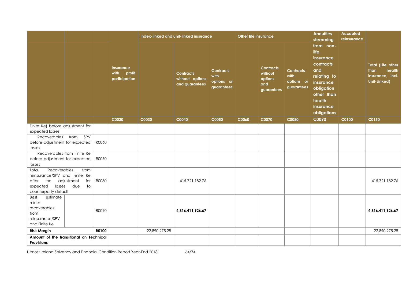|                                                        |                   |       |                                                  |               | Index-linked and unit-linked insurance                |                                                      | <b>Other life insurance</b> |                                                             |                                                      | <b>Annuities</b><br>stemming                                                                                                                     | <b>Accepted</b><br>reinsurance |                                                                                |
|--------------------------------------------------------|-------------------|-------|--------------------------------------------------|---------------|-------------------------------------------------------|------------------------------------------------------|-----------------------------|-------------------------------------------------------------|------------------------------------------------------|--------------------------------------------------------------------------------------------------------------------------------------------------|--------------------------------|--------------------------------------------------------------------------------|
|                                                        |                   |       | <b>Insurance</b><br>with profit<br>participation |               | <b>Contracts</b><br>without options<br>and guarantees | <b>Contracts</b><br>with<br>options or<br>guarantees |                             | <b>Contracts</b><br>without<br>options<br>and<br>guarantees | <b>Contracts</b><br>with<br>options or<br>guarantees | from non-<br>life<br>insurance<br>contracts<br>and<br>relating to<br>insurance<br>obligation<br>other than<br>health<br>insurance<br>obligations |                                | <b>Total (Life other</b><br>health<br>than<br>insurance, incl.<br>Unit-Linked) |
|                                                        |                   |       | C0020                                            | C0030         | C0040                                                 | C0050                                                | C0060                       | C0070                                                       | C0080                                                | C0090                                                                                                                                            | C0100                          | C0150                                                                          |
| Finite Re) before adjustment for                       |                   |       |                                                  |               |                                                       |                                                      |                             |                                                             |                                                      |                                                                                                                                                  |                                |                                                                                |
| expected losses                                        |                   |       |                                                  |               |                                                       |                                                      |                             |                                                             |                                                      |                                                                                                                                                  |                                |                                                                                |
| Recoverables                                           | SPV<br>from       |       |                                                  |               |                                                       |                                                      |                             |                                                             |                                                      |                                                                                                                                                  |                                |                                                                                |
| before adjustment for expected<br>losses               |                   | R0060 |                                                  |               |                                                       |                                                      |                             |                                                             |                                                      |                                                                                                                                                  |                                |                                                                                |
| Recoverables from Finite Re                            |                   |       |                                                  |               |                                                       |                                                      |                             |                                                             |                                                      |                                                                                                                                                  |                                |                                                                                |
| before adjustment for expected                         |                   | R0070 |                                                  |               |                                                       |                                                      |                             |                                                             |                                                      |                                                                                                                                                  |                                |                                                                                |
| losses                                                 |                   |       |                                                  |               |                                                       |                                                      |                             |                                                             |                                                      |                                                                                                                                                  |                                |                                                                                |
| Total<br>Recoverables<br>reinsurance/SPV and Finite Re | from              |       |                                                  |               |                                                       |                                                      |                             |                                                             |                                                      |                                                                                                                                                  |                                |                                                                                |
| the<br>after                                           | adjustment<br>for | R0080 |                                                  |               | 415,721,182.76                                        |                                                      |                             |                                                             |                                                      |                                                                                                                                                  |                                | 415,721,182.76                                                                 |
| losses<br>expected                                     | due<br>to         |       |                                                  |               |                                                       |                                                      |                             |                                                             |                                                      |                                                                                                                                                  |                                |                                                                                |
| counterparty default                                   |                   |       |                                                  |               |                                                       |                                                      |                             |                                                             |                                                      |                                                                                                                                                  |                                |                                                                                |
| estimate<br><b>Best</b>                                |                   |       |                                                  |               |                                                       |                                                      |                             |                                                             |                                                      |                                                                                                                                                  |                                |                                                                                |
| minus                                                  |                   |       |                                                  |               |                                                       |                                                      |                             |                                                             |                                                      |                                                                                                                                                  |                                |                                                                                |
| recoverables                                           |                   | R0090 |                                                  |               | 4,816,411,926.67                                      |                                                      |                             |                                                             |                                                      |                                                                                                                                                  |                                | 4,816,411,926.67                                                               |
| from                                                   |                   |       |                                                  |               |                                                       |                                                      |                             |                                                             |                                                      |                                                                                                                                                  |                                |                                                                                |
| reinsurance/SPV                                        |                   |       |                                                  |               |                                                       |                                                      |                             |                                                             |                                                      |                                                                                                                                                  |                                |                                                                                |
| and Finite Re                                          |                   |       |                                                  |               |                                                       |                                                      |                             |                                                             |                                                      |                                                                                                                                                  |                                |                                                                                |
| <b>Risk Margin</b>                                     |                   | R0100 |                                                  | 22,890,275.28 |                                                       |                                                      |                             |                                                             |                                                      |                                                                                                                                                  |                                | 22,890,275.28                                                                  |
| Amount of the transitional on Technical                |                   |       |                                                  |               |                                                       |                                                      |                             |                                                             |                                                      |                                                                                                                                                  |                                |                                                                                |
| <b>Provisions</b>                                      |                   |       |                                                  |               |                                                       |                                                      |                             |                                                             |                                                      |                                                                                                                                                  |                                |                                                                                |

Utmost Ireland Solvency and Financial Condition Report Year-End 2018 64/74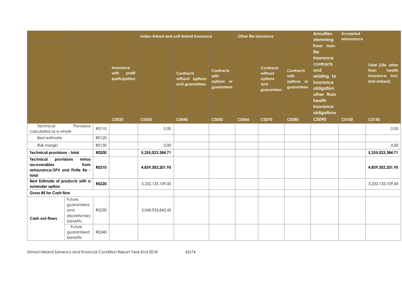|                                                                       |                                                                    |       |                                                  |                  | Index-linked and unit-linked insurance                |                                                      | <b>Other life insurance</b> |                                                             |                                                      | <b>Annuities</b><br>stemming                                                                                                                     | Accepted<br>reinsurance |                                                                         |
|-----------------------------------------------------------------------|--------------------------------------------------------------------|-------|--------------------------------------------------|------------------|-------------------------------------------------------|------------------------------------------------------|-----------------------------|-------------------------------------------------------------|------------------------------------------------------|--------------------------------------------------------------------------------------------------------------------------------------------------|-------------------------|-------------------------------------------------------------------------|
|                                                                       |                                                                    |       | <b>Insurance</b><br>with profit<br>participation |                  | <b>Contracts</b><br>without options<br>and guarantees | <b>Contracts</b><br>with<br>options or<br>guarantees |                             | <b>Contracts</b><br>without<br>options<br>and<br>guarantees | <b>Contracts</b><br>with<br>options or<br>guarantees | from non-<br>life<br>insurance<br>contracts<br>and<br>relating to<br>insurance<br>obligation<br>other than<br>health<br>insurance<br>obligations |                         | Total (Life other<br>health<br>than<br>insurance, incl.<br>Unit-Linked) |
|                                                                       |                                                                    |       | $\overline{CO020}$                               | C0030            | C0040                                                 | C0050                                                | C0060                       | C0070                                                       | C0080                                                | C0090                                                                                                                                            | C0100                   | C0150                                                                   |
| Technical<br>calculated as a whole                                    | Provisions                                                         | R0110 |                                                  | 0.00             |                                                       |                                                      |                             |                                                             |                                                      |                                                                                                                                                  |                         | 0.00                                                                    |
| <b>Best estimate</b>                                                  |                                                                    | R0120 |                                                  |                  |                                                       |                                                      |                             |                                                             |                                                      |                                                                                                                                                  |                         |                                                                         |
| Risk margin                                                           |                                                                    | R0130 |                                                  | 0.00             |                                                       |                                                      |                             |                                                             |                                                      |                                                                                                                                                  |                         | 0.00                                                                    |
| <b>Technical provisions - total</b>                                   |                                                                    | R0200 |                                                  | 5,255,023,384.71 |                                                       |                                                      |                             |                                                             |                                                      |                                                                                                                                                  |                         | 5,255,023,384.71                                                        |
| Technical<br>recoverables<br>reinsurance/SPV and Finite Re -<br>total | provisions<br>minus<br>from                                        | R0210 |                                                  | 4,839,302,201.95 |                                                       |                                                      |                             |                                                             |                                                      |                                                                                                                                                  |                         | 4,839,302,201.95                                                        |
| Best Estimate of products with a<br>surrender option                  |                                                                    | R0220 |                                                  | 5,232,133,109.43 |                                                       |                                                      |                             |                                                             |                                                      |                                                                                                                                                  |                         | 5,232,133,109.43                                                        |
| <b>Gross BE for Cash flow</b>                                         |                                                                    |       |                                                  |                  |                                                       |                                                      |                             |                                                             |                                                      |                                                                                                                                                  |                         |                                                                         |
| <b>Cash out-flows</b>                                                 | Future<br>guaranteed<br>and<br>discretionary<br>benefits<br>Future | R0230 |                                                  | 5,040,925,842.43 |                                                       |                                                      |                             |                                                             |                                                      |                                                                                                                                                  |                         |                                                                         |
|                                                                       | guaranteed<br>benefits                                             | R0240 |                                                  |                  |                                                       |                                                      |                             |                                                             |                                                      |                                                                                                                                                  |                         |                                                                         |

Utmost Ireland Solvency and Financial Condition Report Year-End 2018 65/74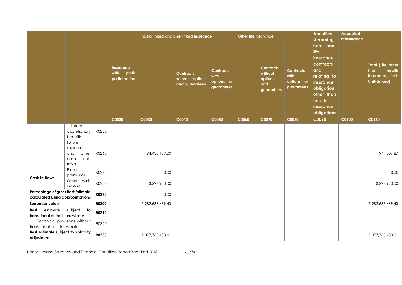|                                                                      |                                                             |              |                                                  |                  | Index-linked and unit-linked insurance                |                                                      | <b>Other life insurance</b> |                                                             |                                                      | <b>Annuities</b><br>stemming                                                                                                                     | Accepted<br>reinsurance |                                                                         |
|----------------------------------------------------------------------|-------------------------------------------------------------|--------------|--------------------------------------------------|------------------|-------------------------------------------------------|------------------------------------------------------|-----------------------------|-------------------------------------------------------------|------------------------------------------------------|--------------------------------------------------------------------------------------------------------------------------------------------------|-------------------------|-------------------------------------------------------------------------|
|                                                                      |                                                             |              | <b>Insurance</b><br>with profit<br>participation |                  | <b>Contracts</b><br>without options<br>and guarantees | <b>Contracts</b><br>with<br>options or<br>guarantees |                             | <b>Contracts</b><br>without<br>options<br>and<br>guarantees | <b>Contracts</b><br>with<br>options or<br>guarantees | from non-<br>life<br>insurance<br>contracts<br>and<br>relating to<br>insurance<br>obligation<br>other than<br>health<br>insurance<br>obligations |                         | Total (Life other<br>than<br>health<br>insurance, incl.<br>Unit-Linked) |
|                                                                      |                                                             |              | C0020                                            | C0030            | C0040                                                 | C0050                                                | C0060                       | C0070                                                       | C0080                                                | C0090                                                                                                                                            | C0100                   | C0150                                                                   |
|                                                                      | Future<br>discretionary<br>benefits                         | R0250        |                                                  |                  |                                                       |                                                      |                             |                                                             |                                                      |                                                                                                                                                  |                         |                                                                         |
|                                                                      | Future<br>expenses<br>and<br>other<br>cash<br>out-<br>flows | R0260        |                                                  | 194,430,187.00   |                                                       |                                                      |                             |                                                             |                                                      |                                                                                                                                                  |                         | 194,430,187                                                             |
| <b>Cash in-flows</b>                                                 | Future<br>premiums                                          | R0270        |                                                  | 0.00             |                                                       |                                                      |                             |                                                             |                                                      |                                                                                                                                                  |                         | 0.00                                                                    |
|                                                                      | Other cash<br>in-flows                                      | R0280        |                                                  | 3,222,920.00     |                                                       |                                                      |                             |                                                             |                                                      |                                                                                                                                                  |                         | 3,222,920.00                                                            |
| Percentage of gross Best Estimate<br>calculated using approximations |                                                             | R0290        |                                                  | 0.00             |                                                       |                                                      |                             |                                                             |                                                      |                                                                                                                                                  |                         |                                                                         |
| Surrender value                                                      |                                                             | <b>R0300</b> |                                                  | 5,282,637,689.43 |                                                       |                                                      |                             |                                                             |                                                      |                                                                                                                                                  |                         | 5,282,637,689.43                                                        |
| estimate<br><b>Best</b><br>transitional of the interest rate         | subject to                                                  | R0310        |                                                  |                  |                                                       |                                                      |                             |                                                             |                                                      |                                                                                                                                                  |                         |                                                                         |
| transitional on interest rate                                        | Technical provisions without                                | R0320        |                                                  |                  |                                                       |                                                      |                             |                                                             |                                                      |                                                                                                                                                  |                         |                                                                         |
| Best estimate subject to volatility<br>adjustment                    |                                                             | R0330        |                                                  | 1,077,765,403.61 |                                                       |                                                      |                             |                                                             |                                                      |                                                                                                                                                  |                         | 1,077,765,403.61                                                        |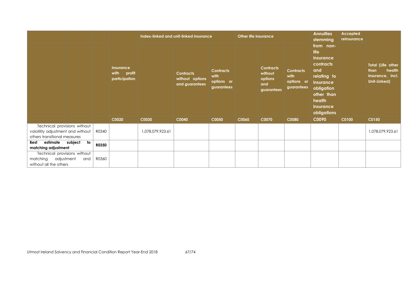|                                                                   |                                     |       |                                                  |                  | Index-linked and unit-linked insurance                |                                                      | <b>Other life insurance</b> |                                                             |                                                      | <b>Annuities</b><br>stemming                                                                                                                     | <b>Accepted</b><br>reinsurance |                                                                                |
|-------------------------------------------------------------------|-------------------------------------|-------|--------------------------------------------------|------------------|-------------------------------------------------------|------------------------------------------------------|-----------------------------|-------------------------------------------------------------|------------------------------------------------------|--------------------------------------------------------------------------------------------------------------------------------------------------|--------------------------------|--------------------------------------------------------------------------------|
|                                                                   |                                     |       | <b>Insurance</b><br>with profit<br>participation |                  | <b>Contracts</b><br>without options<br>and guarantees | <b>Contracts</b><br>with<br>options or<br>guarantees |                             | <b>Contracts</b><br>without<br>options<br>and<br>guarantees | <b>Contracts</b><br>with<br>options or<br>guarantees | from non-<br>life<br>insurance<br>contracts<br>and<br>relating to<br>insurance<br>obligation<br>other than<br>health<br>insurance<br>obligations |                                | <b>Total (Life other</b><br>health<br>than<br>insurance, incl.<br>Unit-Linked) |
|                                                                   |                                     |       | C0020                                            | C0030            | C0040                                                 | C0050                                                | C0060                       | C0070                                                       | <b>C0080</b>                                         | C0090                                                                                                                                            | C0100                          | C0150                                                                          |
| volatility adjustment and without<br>others transitional measures | Technical provisions without        | R0340 |                                                  | 1,078,079,923.61 |                                                       |                                                      |                             |                                                             |                                                      |                                                                                                                                                  |                                | 1,078,079,923.61                                                               |
| estimate<br>Best<br>matching adjustment                           | subject<br>to                       | R0350 |                                                  |                  |                                                       |                                                      |                             |                                                             |                                                      |                                                                                                                                                  |                                |                                                                                |
| adjustment<br>matching<br>without all the others                  | Technical provisions without<br>and | R0360 |                                                  |                  |                                                       |                                                      |                             |                                                             |                                                      |                                                                                                                                                  |                                |                                                                                |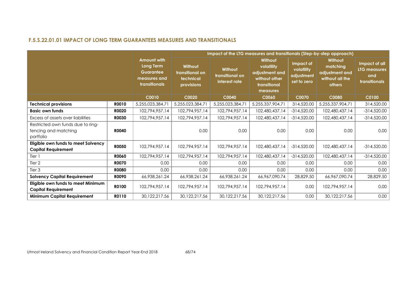# **F.5.S.22.01.01 IMPACT OF LONG TERM GUARANTEES MEASURES AND TRANSITIONALS**

|                                                                        |              | Impact of the LTG measures and transitionals (Step-by-step approach)                 |                                                       |                                             |                                                                                      |                                                      |                                                                    |                                                       |  |
|------------------------------------------------------------------------|--------------|--------------------------------------------------------------------------------------|-------------------------------------------------------|---------------------------------------------|--------------------------------------------------------------------------------------|------------------------------------------------------|--------------------------------------------------------------------|-------------------------------------------------------|--|
|                                                                        |              | <b>Amount with</b><br>Long Term<br><b>Guarantee</b><br>measures and<br>transitionals | Without<br>transitional on<br>technical<br>provisions | Without<br>transitional on<br>interest rate | Without<br>volatility<br>adjustment and<br>without other<br>transitional<br>measures | Impact of<br>volatility<br>adjustment<br>set to zero | Without<br>matching<br>adjustment and<br>without all the<br>others | Impact of all<br>LTG measures<br>and<br>transitionals |  |
|                                                                        |              | <b>C0010</b>                                                                         | C0020                                                 | <b>C0040</b>                                | C0060                                                                                | <b>C0070</b>                                         | <b>C0080</b>                                                       | <b>C0100</b>                                          |  |
| <b>Technical provisions</b>                                            | R0010        | 5,255,023,384.71                                                                     | 5,255,023,384.71                                      | 5,255,023,384.71                            | 5,255,337,904.71                                                                     | 314,520.00                                           | 5,255,337,904.71                                                   | 314,520.00                                            |  |
| <b>Basic own funds</b>                                                 | R0020        | 102,794,957.14                                                                       | 102,794,957.14                                        | 102,794,957.14                              | 102,480,437.14                                                                       | $-314,520.00$                                        | 102,480,437.14                                                     | $-314,520.00$                                         |  |
| Excess of assets over liabilities                                      | <b>R0030</b> | 102,794,957.14                                                                       | 102,794,957.14                                        | 102,794,957.14                              | 102,480,437.14                                                                       | $-314,520.00$                                        | 102,480,437.14                                                     | $-314,520.00$                                         |  |
| Restricted own funds due to ring-<br>fencing and matching<br>portfolio | <b>R0040</b> |                                                                                      | 0.00                                                  | 0.00                                        | 0.00                                                                                 | 0.00                                                 | 0.00                                                               | 0.00                                                  |  |
| Eligible own funds to meet Solvency<br><b>Capital Requirement</b>      | <b>R0050</b> | 102,794,957.14                                                                       | 102,794,957.14                                        | 102,794,957.14                              | 102,480,437.14                                                                       | $-314,520.00$                                        | 102,480,437.14                                                     | $-314,520.00$                                         |  |
| Tier 1                                                                 | R0060        | 102,794,957.14                                                                       | 102,794,957.14                                        | 102,794,957.14                              | 102,480,437.14                                                                       | $-314,520.00$                                        | 102,480,437.14                                                     | $-314,520.00$                                         |  |
| Tier 2                                                                 | <b>R0070</b> | 0.00                                                                                 | 0.00                                                  | 0.00                                        | 0.00                                                                                 | 0.00                                                 | 0.00                                                               | 0.00                                                  |  |
| Tier 3                                                                 | <b>RO080</b> | 0.00                                                                                 | 0.00                                                  | 0.00                                        | 0.00                                                                                 | 0.00                                                 | 0.00                                                               | 0.00                                                  |  |
| <b>Solvency Capital Requirement</b>                                    | <b>ROO90</b> | 66,938,261.24                                                                        | 66,938,261.24                                         | 66,938,261.24                               | 66,967,090.74                                                                        | 28,829.50                                            | 66,967,090.74                                                      | 28,829.50                                             |  |
| Eligible own funds to meet Minimum<br><b>Capital Requirement</b>       | R0100        | 102,794,957.14                                                                       | 102,794,957.14                                        | 102,794,957.14                              | 102,794,957.14                                                                       | 0.00                                                 | 102,794,957.14                                                     | 0.00                                                  |  |
| Minimum Capital Requirement                                            | R0110        | 30,122,217.56                                                                        | 30,122,217.56                                         | 30,122,217.56                               | 30,122,217.56                                                                        | 0.00                                                 | 30,122,217.56                                                      | 0.00                                                  |  |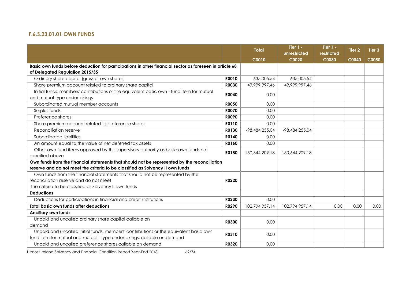# **F.6.S.23.01.01 OWN FUNDS**

|                                                                                                         |              | <b>Total</b>   | Tier $1 -$<br>unrestricted | Tier 1 -<br>restricted | Tier <sub>2</sub> | Tier <sub>3</sub> |
|---------------------------------------------------------------------------------------------------------|--------------|----------------|----------------------------|------------------------|-------------------|-------------------|
|                                                                                                         |              | C0010          | C0020                      | C0030                  | <b>C0040</b>      | <b>C0050</b>      |
| Basic own funds before deduction for participations in other financial sector as foreseen in article 68 |              |                |                            |                        |                   |                   |
| of Delegated Regulation 2015/35                                                                         |              |                |                            |                        |                   |                   |
| Ordinary share capital (gross of own shares)                                                            | <b>ROO10</b> | 635,005.54     | 635,005.54                 |                        |                   |                   |
| Share premium account related to ordinary share capital                                                 | <b>R0030</b> | 49,999,997.46  | 49,999,997.46              |                        |                   |                   |
| Initial funds, members' contributions or the equivalent basic own - fund item for mutual                | <b>R0040</b> | 0.00           |                            |                        |                   |                   |
| and mutual-type undertakings                                                                            |              |                |                            |                        |                   |                   |
| Subordinated mutual member accounts                                                                     | <b>R0050</b> | 0.00           |                            |                        |                   |                   |
| Surplus funds                                                                                           | <b>R0070</b> | 0.00           |                            |                        |                   |                   |
| Preference shares                                                                                       | R0090        | 0.00           |                            |                        |                   |                   |
| Share premium account related to preference shares                                                      | R0110        | 0.00           |                            |                        |                   |                   |
| Reconciliation reserve                                                                                  | R0130        | -98,484,255.04 | -98,484,255.04             |                        |                   |                   |
| Subordinated liabilities                                                                                | R0140        | 0.00           |                            |                        |                   |                   |
| An amount equal to the value of net deferred tax assets                                                 | R0160        | 0.00           |                            |                        |                   |                   |
| Other own fund items approved by the supervisory authority as basic own funds not<br>R0180              |              | 150,644,209.18 | 150,644,209.18             |                        |                   |                   |
| specified above                                                                                         |              |                |                            |                        |                   |                   |
| Own funds from the financial statements that should not be represented by the reconciliation            |              |                |                            |                        |                   |                   |
| reserve and do not meet the criteria to be classified as Solvency II own funds                          |              |                |                            |                        |                   |                   |
| Own funds from the financial statements that should not be represented by the                           |              |                |                            |                        |                   |                   |
| reconciliation reserve and do not meet                                                                  | R0220        |                |                            |                        |                   |                   |
| the criteria to be classified as Solvency II own funds                                                  |              |                |                            |                        |                   |                   |
| <b>Deductions</b>                                                                                       |              |                |                            |                        |                   |                   |
| Deductions for participations in financial and credit institutions                                      | R0230        | 0.00           |                            |                        |                   |                   |
| Total basic own funds after deductions                                                                  | R0290        | 102,794,957.14 | 102,794,957.14             | 0.00                   | 0.00              | 0.00              |
| <b>Ancillary own funds</b>                                                                              |              |                |                            |                        |                   |                   |
| Unpaid and uncalled ordinary share capital callable on                                                  | <b>R0300</b> | 0.00           |                            |                        |                   |                   |
| demand                                                                                                  |              |                |                            |                        |                   |                   |
| Unpaid and uncalled initial funds, members' contributions or the equivalent basic own                   | R0310        |                |                            |                        |                   |                   |
| fund item for mutual and mutual - type undertakings, callable on demand                                 |              | 0.00           |                            |                        |                   |                   |
| Unpaid and uncalled preference shares callable on demand                                                | R0320        | 0.00           |                            |                        |                   |                   |

Utmost Ireland Solvency and Financial Condition Report Year-End 2018 69/74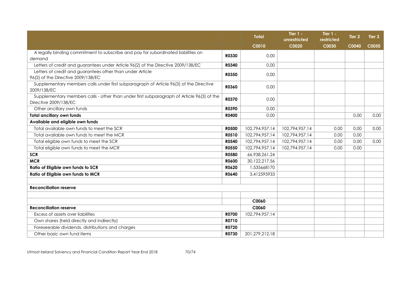|                                                                                                                    |              | <b>Total</b>      | Tier $1 -$<br>unrestricted | Tier $1 -$<br>restricted | Tier <sub>2</sub> | Tier 3 |
|--------------------------------------------------------------------------------------------------------------------|--------------|-------------------|----------------------------|--------------------------|-------------------|--------|
|                                                                                                                    |              | C0010             | C0020                      | C0030                    | C0040             | C0050  |
| A legally binding commitment to subscribe and pay for subordinated liabilities on                                  | R0330        | 0.00              |                            |                          |                   |        |
| demand                                                                                                             |              |                   |                            |                          |                   |        |
| Letters of credit and guarantees under Article 96(2) of the Directive 2009/138/EC                                  | R0340        | 0.00              |                            |                          |                   |        |
| Letters of credit and guarantees other than under Article<br>96(2) of the Directive 2009/138/EC                    | <b>R0350</b> | 0.00              |                            |                          |                   |        |
| Supplementary members calls under first subparagraph of Article 96(3) of the Directive<br>2009/138/EC              | <b>R0360</b> | 0.00              |                            |                          |                   |        |
| Supplementary members calls - other than under first subparagraph of Article 96(3) of the<br>Directive 2009/138/EC | R0370        | 0.00              |                            |                          |                   |        |
| Other ancillary own funds                                                                                          | <b>R0390</b> | 0.00              |                            |                          |                   |        |
| <b>Total ancillary own funds</b>                                                                                   | R0400        | 0.00              |                            |                          | 0.00              | 0.00   |
| Available and eligible own funds                                                                                   |              |                   |                            |                          |                   |        |
| Total available own funds to meet the SCR                                                                          | <b>R0500</b> | 102,794,957.14    | 102,794,957.14             | 0.00                     | 0.00              | 0.00   |
| Total available own funds to meet the MCR                                                                          | R0510        | 102,794,957.14    | 102,794,957.14             | 0.00                     | 0.00              |        |
| Total eligible own funds to meet the SCR                                                                           | <b>R0540</b> | 102,794,957.14    | 102,794,957.14             | 0.00                     | 0.00              | 0.00   |
| Total eligible own funds to meet the MCR                                                                           | <b>R0550</b> | 102,794,957.14    | 102,794,957.14             | 0.00                     | 0.00              |        |
| <b>SCR</b>                                                                                                         | <b>R0580</b> | 66,938,261.24     |                            |                          |                   |        |
| <b>MCR</b>                                                                                                         | <b>R0600</b> | 30,122,217.56     |                            |                          |                   |        |
| Ratio of Eligible own funds to SCR                                                                                 | R0620        | 1.535668170       |                            |                          |                   |        |
| Ratio of Eligible own funds to MCR                                                                                 | R0640        | 3.412595933       |                            |                          |                   |        |
| <b>Reconciliation reserve</b>                                                                                      |              |                   |                            |                          |                   |        |
|                                                                                                                    |              |                   |                            |                          |                   |        |
|                                                                                                                    |              | C0060             |                            |                          |                   |        |
| <b>Reconciliation reserve</b>                                                                                      |              | C0060             |                            |                          |                   |        |
| Excess of assets over liabilities                                                                                  | <b>R0700</b> | 102,794,957.14    |                            |                          |                   |        |
| Own shares (held directly and indirectly)                                                                          | R0710        |                   |                            |                          |                   |        |
| Foreseeable dividends, distributions and charges                                                                   | R0720        |                   |                            |                          |                   |        |
| Other basic own fund items                                                                                         | R0730        | 201, 279, 212. 18 |                            |                          |                   |        |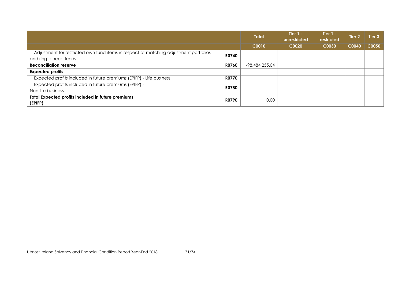|                                                                                       |              | <b>Total</b>   | Tier $1 -$<br>unrestricted | Tier $1 -$<br>restricted | Tier 2 | Tier 3 |
|---------------------------------------------------------------------------------------|--------------|----------------|----------------------------|--------------------------|--------|--------|
|                                                                                       |              | C0010          | C0020                      | C0030                    | C0040  | C0050  |
| Adjustment for restricted own fund items in respect of matching adjustment portfolios | <b>R0740</b> |                |                            |                          |        |        |
| and ring fenced funds                                                                 |              |                |                            |                          |        |        |
| <b>Reconciliation reserve</b>                                                         | <b>R0760</b> | -98,484,255.04 |                            |                          |        |        |
| <b>Expected profits</b>                                                               |              |                |                            |                          |        |        |
| Expected profits included in future premiums (EPIFP) - Life business                  | <b>R0770</b> |                |                            |                          |        |        |
| Expected profits included in future premiums (EPIFP) -                                | <b>R0780</b> |                |                            |                          |        |        |
| Non-life business                                                                     |              |                |                            |                          |        |        |
| Total Expected profits included in future premiums<br>(EPIFP)                         | <b>R0790</b> | 0.00           |                            |                          |        |        |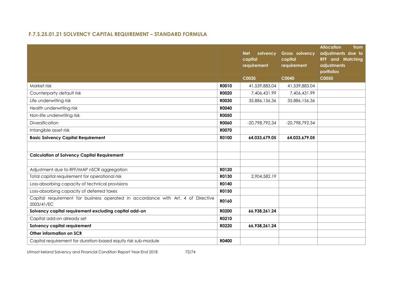# **F.7.S.25.01.21 SOLVENCY CAPITAL REQUIREMENT – STANDARD FORMULA**

|                                                                                                |              | <b>Net</b><br>solvency<br>capital<br>requirement | Gross solvency<br>capital<br>requirement | <b>Allocation</b><br>from<br>adjustments due to<br><b>RFF</b> and Matching<br>adjustments<br>portfolios |
|------------------------------------------------------------------------------------------------|--------------|--------------------------------------------------|------------------------------------------|---------------------------------------------------------------------------------------------------------|
|                                                                                                |              | C0030                                            | C0040                                    | <b>C0050</b>                                                                                            |
| Market risk                                                                                    | R0010        | 41,539,883.04                                    | 41,539,883.04                            |                                                                                                         |
| Counterparty default risk                                                                      | <b>R0020</b> | 7,406,431.99                                     | 7,406,431.99                             |                                                                                                         |
| Life underwriting risk                                                                         | <b>R0030</b> | 35.886,156.36                                    | 35.886,156.36                            |                                                                                                         |
| Health underwriting risk                                                                       | <b>R0040</b> |                                                  |                                          |                                                                                                         |
| Non-life underwriting risk                                                                     | <b>RO050</b> |                                                  |                                          |                                                                                                         |
| Diversification                                                                                | <b>RO060</b> | -20,798,792.34                                   | -20,798,792.34                           |                                                                                                         |
| Intangible asset risk                                                                          | <b>R0070</b> |                                                  |                                          |                                                                                                         |
| <b>Basic Solvency Capital Requirement</b>                                                      | R0100        | 64,033,679.05                                    | 64,033,679.05                            |                                                                                                         |
|                                                                                                |              |                                                  |                                          |                                                                                                         |
| <b>Calculation of Solvency Capital Requirement</b>                                             |              |                                                  |                                          |                                                                                                         |
|                                                                                                |              |                                                  |                                          |                                                                                                         |
| Adjustment due to RFF/MAP nSCR aggregation                                                     | R0120        |                                                  |                                          |                                                                                                         |
| Total capital requirement for operational risk                                                 | R0130        | 2,904,582.19                                     |                                          |                                                                                                         |
| Loss-absorbing capacity of technical provisions                                                | R0140        |                                                  |                                          |                                                                                                         |
| Loss-absorbing capacity of deferred taxes                                                      | R0150        |                                                  |                                          |                                                                                                         |
| Capital requirement for business operated in accordance with Art. 4 of Directive<br>2003/41/EC | R0160        |                                                  |                                          |                                                                                                         |
| Solvency capital requirement excluding capital add-on                                          | R0200        | 66,938,261.24                                    |                                          |                                                                                                         |
| Capital add-on already set                                                                     | R0210        |                                                  |                                          |                                                                                                         |
| Solvency capital requirement                                                                   | R0220        | 66,938,261.24                                    |                                          |                                                                                                         |
| Other information on SCR                                                                       |              |                                                  |                                          |                                                                                                         |
| Capital requirement for duration-based equity risk sub-module                                  | <b>R0400</b> |                                                  |                                          |                                                                                                         |

Utmost Ireland Solvency and Financial Condition Report Year-End 2018 72/74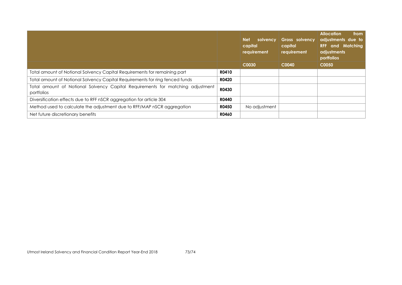|                                                                                              |              | <b>Net</b><br>solvency<br>capital<br>requirement | Gross solvency<br>capital<br>requirement | <b>Allocation</b><br>from<br>adjustments due to<br><b>RFF</b> and Matching<br>adjustments<br>portfolios |
|----------------------------------------------------------------------------------------------|--------------|--------------------------------------------------|------------------------------------------|---------------------------------------------------------------------------------------------------------|
|                                                                                              |              | C0030                                            | C0040                                    | C0050                                                                                                   |
| Total amount of Notional Solvency Capital Requirements for remaining part                    | R0410        |                                                  |                                          |                                                                                                         |
| Total amount of Notional Solvency Capital Requirements for ring fenced funds                 | <b>R0420</b> |                                                  |                                          |                                                                                                         |
| Total amount of Notional Solvency Capital Requirements for matching adjustment<br>portfolios | <b>R0430</b> |                                                  |                                          |                                                                                                         |
| Diversification effects due to RFF nSCR aggregation for article 304                          | <b>R0440</b> |                                                  |                                          |                                                                                                         |
| Method used to calculate the adjustment due to RFF/MAP nSCR aggregation                      | <b>R0450</b> | No adjustment                                    |                                          |                                                                                                         |
| Net future discretionary benefits                                                            | <b>R0460</b> |                                                  |                                          |                                                                                                         |